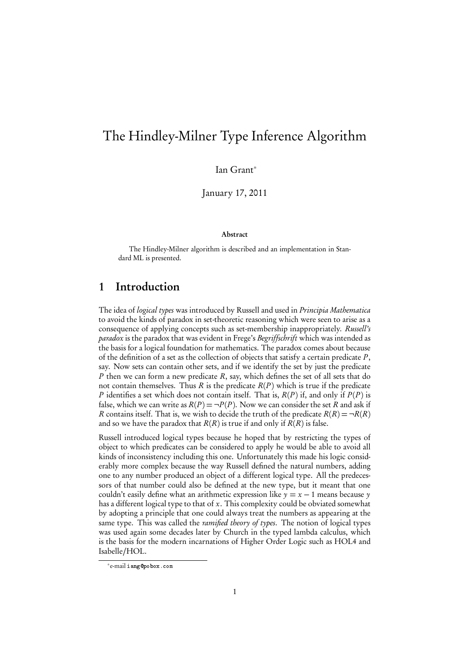# The Hindley-Milner Type Inference Algorithm

Ian Grant<sup>∗</sup>

January 17, 2011

#### Abstract

The Hindley-Milner algorithm is described and an implementation in Standard ML is presented.

#### 1 Introduction

The idea of logical types was introduced by Russell and used in Principia Mathematica to avoid the kinds of paradox in set-theoretic reasoning which were seen to arise as a consequence of applying concepts such as set-membership inappropriately. Russell's paradox is the paradox that was evident in Frege's Begriffschrift which was intended as the basis for a logical foundation for mathematics. The paradox comes about because of the definition of a set as the collection of objects that satisfy a certain predicate  $P$ , say. Now sets can contain other sets, and if we identify the set by just the predicate P then we can form a new predicate  $R$ , say, which defines the set of all sets that do not contain themselves. Thus R is the predicate  $R(P)$  which is true if the predicate P identifies a set which does not contain itself. That is,  $R(P)$  if, and only if  $P(P)$  is false, which we can write as  $R(P) = \neg P(P)$ . Now we can consider the set R and ask if R contains itself. That is, we wish to decide the truth of the predicate  $R(R) = \neg R(R)$ and so we have the paradox that  $R(R)$  is true if and only if  $R(R)$  is false.

Russell introduced logical types because he hoped that by restricting the types of object to which predicates can be considered to apply he would be able to avoid all kinds of inconsistency including this one. Unfortunately this made his logic considerably more complex because the way Russell defined the natural numbers, adding one to any number produced an object of a different logical type. All the predecessors of that number could also be defined at the new type, but it meant that one couldn't easily define what an arithmetic expression like  $y = x - 1$  means because y has a different logical type to that of x. This complexity could be obviated somewhat by adopting a principle that one could always treat the numbers as appearing at the same type. This was called the *ramified theory of types*. The notion of logical types was used again some decades later by Church in the typed lambda calculus, which is the basis for the modern incarnations of Higher Order Logic such as HOL4 and Isabelle/HOL.

<sup>∗</sup> e-mail iang@pobox.com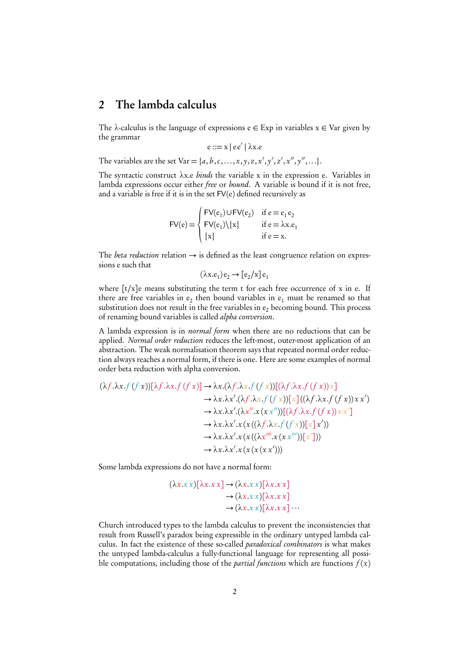#### 2 The lambda calculus

The  $\lambda$ -calculus is the language of expressions  $e \in Exp$  in variables  $x \in Var$  given by the grammar

e ::= x | e e' | λx.e

The variables are the set Var = {a, b, c, ..., x, y, z, x', y', z', x'', y'',...}.

The syntactic construct *λ*x.e binds the variable x in the expression e. Variables in lambda expressions occur either free or bound. A variable is bound if it is not free, and a variable is free if it is in the set FV(e) defined recursively as

$$
FV(e) = \begin{cases} FV(e_1) \cup FV(e_2) & \text{if } e = e_1 e_2 \\ FV(e_1) \setminus \{x\} & \text{if } e = \lambda x.e_1 \\ \{x\} & \text{if } e = x. \end{cases}
$$

The *beta reduction* relation  $\rightarrow$  is defined as the least congruence relation on expressions e such that

$$
(\lambda x.e_1)e_2 \rightarrow [e_2/x]e_1
$$

where [t/x]e means substituting the term t for each free occurrence of x in e. If there are free variables in  $e_2$  then bound variables in  $e_1$  must be renamed so that substitution does not result in the free variables in  $e_2$  becoming bound. This process of renaming bound variables is called *alpha conversion*.

A lambda expression is in normal form when there are no reductions that can be applied. Normal order reduction reduces the left-most, outer-most application of an abstraction. The weak normalisation theorem says that repeated normal order reduction always reaches a normal form, if there is one. Here are some examples of normal order beta reduction with alpha conversion.

$$
(\lambda f.\lambda x.f (f x))[\lambda f.\lambda x.f (f x)] \rightarrow \lambda x.(\lambda f.\lambda x.f (f x))[(\lambda f.\lambda x.f (f x))x]
$$
  
\n
$$
\rightarrow \lambda x.\lambda x'.(\lambda f.\lambda x.f (f x))[x]((\lambda f.\lambda x.f (f x))x x')
$$
  
\n
$$
\rightarrow \lambda x.\lambda x'.(\lambda x''.x (x x''))[(\lambda f.\lambda x.f (f x))x x']
$$
  
\n
$$
\rightarrow \lambda x.\lambda x'.x (x ((\lambda f.\lambda x.f (f x))[x] x'))
$$
  
\n
$$
\rightarrow \lambda x.\lambda x'.x (x ((\lambda x'''.x (x x''))[x')))
$$
  
\n
$$
\rightarrow \lambda x.\lambda x'.x (x (x (x x'))))
$$

Some lambda expressions do not have a normal form:

(*λ*x.x x)[*λ*x.x x] → (*λ*x.x x)[*λ*x.x x]  $\rightarrow (\lambda x. x x)[\lambda x. x x]$  $\rightarrow (\lambda x. x x) [\lambda x. x x] \cdots$ 

Church introduced types to the lambda calculus to prevent the inconsistencies that result from Russell's paradox being expressible in the ordinary untyped lambda calculus. In fact the existence of these so-called paradoxical combinators is what makes the untyped lambda-calculus a fully-functional language for representing all possible computations, including those of the *partial functions* which are functions  $f(x)$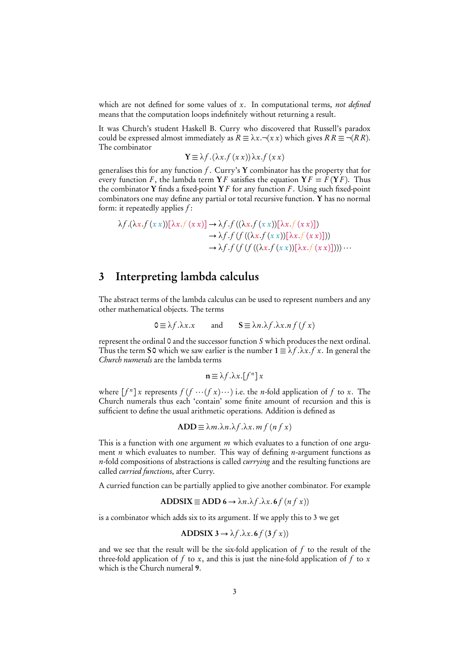which are not defined for some values of  $x$ . In computational terms, not defined means that the computation loops indefinitely without returning a result.

It was Church's student Haskell B. Curry who discovered that Russell's paradox could be expressed almost immediately as  $R \equiv \lambda x. \neg (x \, x)$  which gives  $R R \equiv \neg (R R)$ . The combinator

$$
\mathbf{Y} \equiv \lambda f.(\lambda x.f(x x)) \lambda x.f(x x)
$$

generalises this for any function  $f$ . Curry's Y combinator has the property that for every function F, the lambda term  $YF$  satisfies the equation  $YF = F(YF)$ . Thus the combinator Y finds a fixed-point  $Y F$  for any function F. Using such fixed-point combinators one may define any partial or total recursive function. Y has no normal form: it repeatedly applies  $f$ :

$$
\lambda f.(\lambda x.f(x x))[\lambda x.f(x x)] \rightarrow \lambda f.f((\lambda x.f(x x))[\lambda x.f(x x)])
$$
  

$$
\rightarrow \lambda f.f(f((\lambda x.f(x x))[\lambda x.f(x x)]))
$$
  

$$
\rightarrow \lambda f.f(f(f((\lambda x.f(x x))[\lambda x.f(x x)])))\cdots
$$

### 3 Interpreting lambda calculus

The abstract terms of the lambda calculus can be used to represent numbers and any other mathematical objects. The terms

$$
0 \equiv \lambda f. \lambda x. x \qquad \text{and} \qquad S \equiv \lambda n. \lambda f. \lambda x. n f(f x)
$$

represent the ordinal 0 and the successor function S which produces the next ordinal. Thus the term S0 which we saw earlier is the number  $1 \equiv \lambda f \cdot \lambda x \cdot f x$ . In general the Church numerals are the lambda terms

$$
\mathbf{n} \equiv \lambda f. \lambda x. [f^n] x
$$

where  $[f^n]$  x represents  $f(f \cdots (fx) \cdots)$  i.e. the *n*-fold application of f to x. The Church numerals thus each 'contain' some finite amount of recursion and this is sufficient to define the usual arithmetic operations. Addition is defined as

$$
ADD \equiv \lambda m.\lambda n.\lambda f.\lambda x. mf (nf x)
$$

This is a function with one argument  $m$  which evaluates to a function of one argument *n* which evaluates to number. This way of defining *n*-argument functions as n-fold compositions of abstractions is called *currying* and the resulting functions are called curried functions, after Curry.

A curried function can be partially applied to give another combinator. For example

$$
ADDSIX \equiv ADD\ 6 \rightarrow \lambda n.\lambda f.\lambda x.\,6f\,(n\,f\,x))
$$

is a combinator which adds six to its argument. If we apply this to 3 we get

$$
ADDSIX 3 \to \lambda f. \lambda x. 6 f (3 f x))
$$

and we see that the result will be the six-fold application of  $f$  to the result of the three-fold application of f to x, and this is just the nine-fold application of f to x which is the Church numeral 9.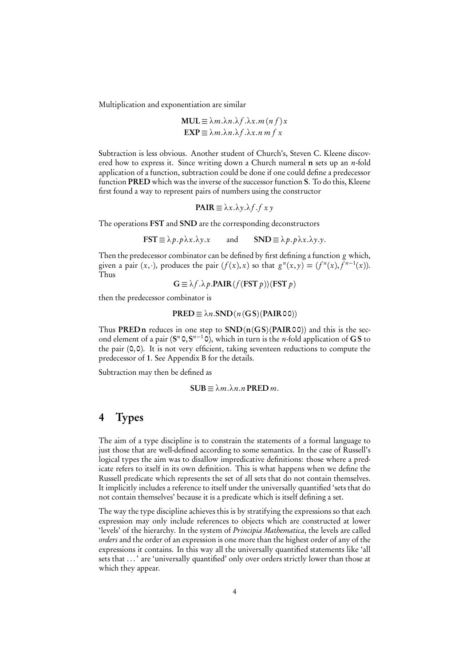Multiplication and exponentiation are similar

$$
MUL \equiv \lambda m.\lambda n.\lambda f.\lambda x.m (nf)x
$$

$$
EXP \equiv \lambda m.\lambda n.\lambda f.\lambda x.n m f x
$$

Subtraction is less obvious. Another student of Church's, Steven C. Kleene discovered how to express it. Since writing down a Church numeral  $n$  sets up an *n*-fold application of a function, subtraction could be done if one could define a predecessor function PRED which was the inverse of the successor function S. To do this, Kleene first found a way to represent pairs of numbers using the constructor

$$
PAIR \equiv \lambda x.\lambda y.\lambda f.f \; xy
$$

The operations FST and SND are the corresponding deconstructors

 $\text{FST} \equiv \lambda p \cdot p \lambda x \cdot \lambda y \cdot x$  and  $\text{SND} \equiv \lambda p \cdot p \lambda x \cdot \lambda y \cdot y$ .

Then the predecessor combinator can be defined by first defining a function g which, given a pair  $(x, \cdot)$ , produces the pair  $(f(x), x)$  so that  $g''(x, y) = (f''(x), f^{n-1}(x))$ . Thus

$$
G \equiv \lambda f \cdot \lambda p \cdot \text{PAIR}(f(\text{FST } p))(\text{FST } p)
$$

then the predecessor combinator is

$$
PRED \equiv \lambda n.SND (n (GS)(PAIR00))
$$

Thus PRED n reduces in one step to  $SND(n(GS)(PAIR00))$  and this is the second element of a pair  $(S^n \circ, S^{n-1} \circ)$ , which in turn is the *n*-fold application of GS to the pair (0,0). It is not very efficient, taking seventeen reductions to compute the predecessor of 1. See Appendix B for the details.

Subtraction may then be defined as

$$
SUB \equiv \lambda m.\lambda n.n \, PRED \, m.
$$

#### 4 Types

The aim of a type discipline is to constrain the statements of a formal language to just those that are well-defined according to some semantics. In the case of Russell's logical types the aim was to disallow impredicative definitions: those where a predicate refers to itself in its own definition. This is what happens when we define the Russell predicate which represents the set of all sets that do not contain themselves. It implicitly includes a reference to itself under the universally quantified 'sets that do not contain themselves' because it is a predicate which is itself defining a set.

The way the type discipline achieves this is by stratifying the expressions so that each expression may only include references to objects which are constructed at lower 'levels' of the hierarchy. In the system of Principia Mathematica, the levels are called orders and the order of an expression is one more than the highest order of any of the expressions it contains. In this way all the universally quantified statements like 'all sets that . . . ' are 'universally quantified' only over orders strictly lower than those at which they appear.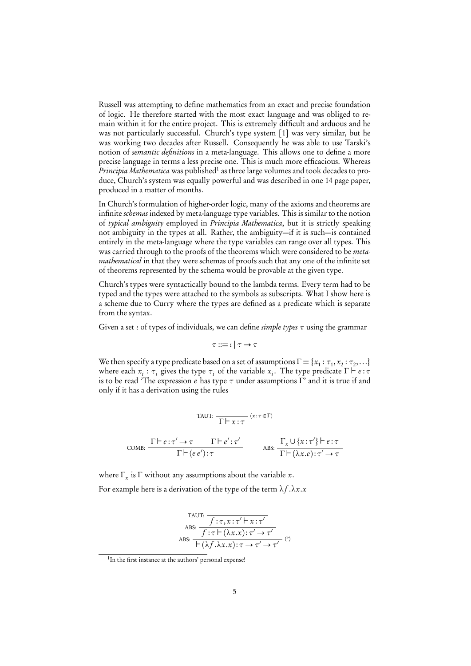Russell was attempting to define mathematics from an exact and precise foundation of logic. He therefore started with the most exact language and was obliged to remain within it for the entire project. This is extremely difficult and arduous and he was not particularly successful. Church's type system [1] was very similar, but he was working two decades after Russell. Consequently he was able to use Tarski's notion of *semantic definitions* in a meta-language. This allows one to define a more precise language in terms a less precise one. This is much more efficacious. Whereas Principia Mathematica was published<sup>1</sup> as three large volumes and took decades to produce, Church's system was equally powerful and was described in one 14 page paper, produced in a matter of months.

In Church's formulation of higher-order logic, many of the axioms and theorems are infinite schemas indexed by meta-language type variables. This is similar to the notion of typical ambiguity employed in Principia Mathematica, but it is strictly speaking not ambiguity in the types at all. Rather, the ambiguity—if it is such—is contained entirely in the meta-language where the type variables can range over all types. This was carried through to the proofs of the theorems which were considered to be *metamathematical* in that they were schemas of proofs such that any one of the infinite set of theorems represented by the schema would be provable at the given type.

Church's types were syntactically bound to the lambda terms. Every term had to be typed and the types were attached to the symbols as subscripts. What I show here is a scheme due to Curry where the types are defined as a predicate which is separate from the syntax.

Given a set *ι* of types of individuals, we can define simple types *τ* using the grammar

$$
\tau ::= \iota \:|\: \tau \to \tau
$$

We then specify a type predicate based on a set of assumptions  $\Gamma = \{x_1 : \tau_1, x_2 : \tau_2, \ldots\}$ where each  $x_i : \tau_i$  gives the type  $\tau_i$  of the variable  $x_i$ . The type predicate  $\Gamma \vdash e : \tau$ is to be read 'The expression e has type *τ* under assumptions Γ' and it is true if and only if it has a derivation using the rules

TAUT:

\n
$$
\frac{\Gamma \vdash e : \tau' \to \tau \quad \Gamma \vdash e' : \tau'}{\Gamma \vdash e : \tau' \quad \text{ABS: } \frac{\Gamma_x \cup \{x : \tau'\} \vdash e : \tau}{\Gamma \vdash (\lambda x . e) : \tau' \to \tau}}
$$

where  $\Gamma_x$  is  $\Gamma$  without any assumptions about the variable x. For example here is a derivation of the type of the term  $\lambda f \cdot \lambda x \cdot x$ 

$$
\text{ABS:} \frac{f: \tau, x: \tau' \vdash x: \tau'}{f: \tau \vdash (\lambda x. x): \tau' \rightarrow \tau'}
$$
\n
$$
\text{ABS:} \frac{f: \tau \vdash (\lambda x. x): \tau' \rightarrow \tau'}{\vdash (\lambda f. \lambda x. x): \tau \rightarrow \tau' \rightarrow \tau'} \quad (*)
$$

<sup>&</sup>lt;sup>1</sup>In the first instance at the authors' personal expense!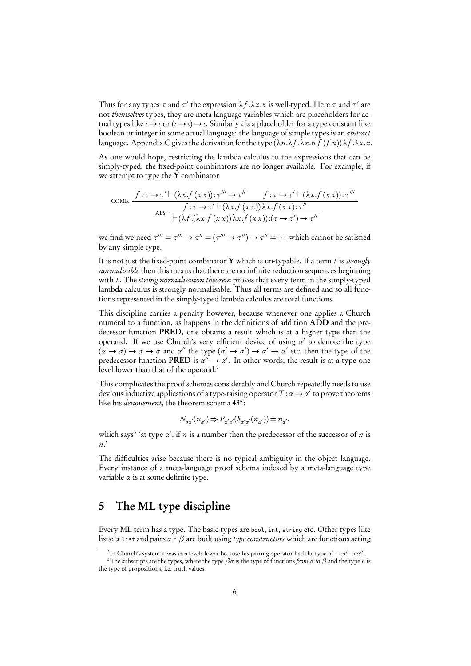Thus for any types  $\tau$  and  $\tau'$  the expression  $\lambda f.\lambda x.x$  is well-typed. Here  $\tau$  and  $\tau'$  are not themselves types, they are meta-language variables which are placeholders for actual types like *ι* → *ι* or (*ι* → *ι*) → *ι*. Similarly *ι* is a placeholder for a type constant like boolean or integer in some actual language: the language of simple types is an *abstract* language. Appendix C gives the derivation for the type  $(\lambda n.\lambda f.\lambda x.n f(fx))\lambda f.\lambda x.x$ .

As one would hope, restricting the lambda calculus to the expressions that can be simply-typed, the fixed-point combinators are no longer available. For example, if we attempt to type the  $Y$  combinator

$$
\text{COMB: } \frac{f: \tau \to \tau' \vdash (\lambda x.f(x x)) : \tau'' \to \tau'' \qquad f: \tau \to \tau' \vdash (\lambda x.f(x x)) : \tau'''}{f: \tau \to \tau' \vdash (\lambda x.f(x x)) \lambda x.f(x x) : \tau''}
$$
\n
$$
\xrightarrow{\text{ABS: } \vdash (\lambda f.(\lambda x.f(x x)) \lambda x.f(x x)) : (\tau \to \tau') \to \tau''}
$$

we find we need  $\tau''' = \tau''' \to \tau'' = (\tau''' \to \tau'') \to \tau'' = \cdots$  which cannot be satisfied by any simple type.

It is not just the fixed-point combinator Y which is un-typable. If a term  $t$  is strongly normalisable then this means that there are no infinite reduction sequences beginning with t. The strong normalisation theorem proves that every term in the simply-typed lambda calculus is strongly normalisable. Thus all terms are defined and so all functions represented in the simply-typed lambda calculus are total functions.

This discipline carries a penalty however, because whenever one applies a Church numeral to a function, as happens in the definitions of addition ADD and the predecessor function PRED, one obtains a result which is at a higher type than the operand. If we use Church's very efficient device of using *α*' to denote the type  $(\alpha \to \alpha) \to \alpha \to \alpha$  and  $\alpha''$  the type  $(\alpha' \to \alpha') \to \alpha' \to \alpha'$  etc. then the type of the predecessor function PRED is  $\alpha'' \rightarrow \alpha'$ . In other words, the result is at a type one level lower than that of the operand.<sup>2</sup>

This complicates the proof schemas considerably and Church repeatedly needs to use devious inductive applications of a type-raising operator T :*α* → *α* 0 to prove theorems like his denouement, the theorem schema 43*<sup>α</sup>* :

$$
N_{o\alpha'}(n_{\alpha'})\mathbin{\Rightarrow} P_{\alpha'\alpha'}(S_{\alpha'\alpha'}(n_{\alpha'}))=n_{\alpha'}.
$$

which says<sup>3</sup> 'at type  $\alpha'$ , if n is a number then the predecessor of the successor of n is n.'

The difficulties arise because there is no typical ambiguity in the object language. Every instance of a meta-language proof schema indexed by a meta-language type variable  $\alpha$  is at some definite type.

#### 5 The ML type discipline

Every ML term has a type. The basic types are bool, int, string etc. Other types like lists: *α* list and pairs *α* \* *β* are built using type constructors which are functions acting

<sup>&</sup>lt;sup>2</sup>In Church's system it was *two* levels lower because his pairing operator had the type  $\alpha' \to \alpha' \to \alpha''$ .

<sup>3</sup>The subscripts are the types, where the type *βα* is the type of functions from *α* to *β* and the type o is the type of propositions, i.e. truth values.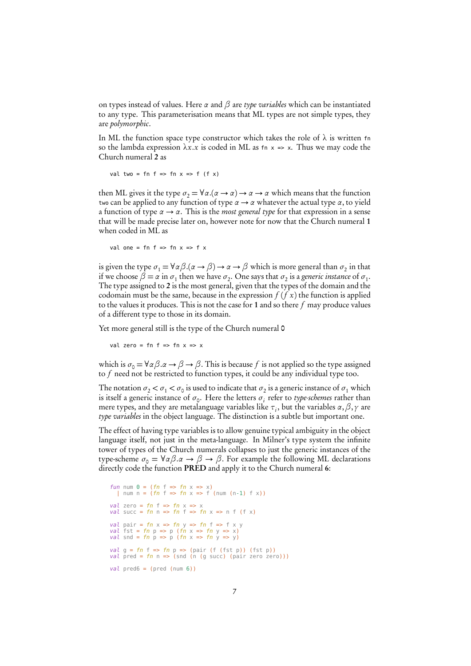on types instead of values. Here *α* and *β* are type variables which can be instantiated to any type. This parameterisation means that ML types are not simple types, they are polymorphic.

In ML the function space type constructor which takes the role of  $\lambda$  is written fn so the lambda expression  $\lambda x.x$  is coded in ML as fn  $x \Rightarrow x$ . Thus we may code the Church numeral 2 as

```
val two = fn f => fn x = f (f x)
```
then ML gives it the type  $\sigma_2 = \forall \alpha . (\alpha \rightarrow \alpha) \rightarrow \alpha \rightarrow \alpha$  which means that the function two can be applied to any function of type *α* → *α* whatever the actual type *α*, to yield a function of type  $\alpha \rightarrow \alpha$ . This is the *most general type* for that expression in a sense that will be made precise later on, however note for now that the Church numeral 1 when coded in ML as

val one = fn f => fn  $x =$  f  $x$ 

is given the type  $\sigma_1 = \forall \alpha \beta . (\alpha \to \beta) \to \alpha \to \beta$  which is more general than  $\sigma_2$  in that if we choose  $\beta = \alpha$  in  $\sigma_1$  then we have  $\sigma_2$ . One says that  $\sigma_2$  is a generic instance of  $\sigma_1$ . The type assigned to 2 is the most general, given that the types of the domain and the codomain must be the same, because in the expression  $f(f x)$  the function is applied to the values it produces. This is not the case for 1 and so there  $f$  may produce values of a different type to those in its domain.

Yet more general still is the type of the Church numeral 0

val zero = fn f => fn  $x =$   $\times$ 

which is  $\sigma_0 = \forall \alpha \beta \cdot \alpha \rightarrow \beta \rightarrow \beta$ . This is because f is not applied so the type assigned to  $f$  need not be restricted to function types, it could be any individual type too.

The notation  $\sigma_2 < \sigma_1 < \sigma_0$  is used to indicate that  $\sigma_2$  is a generic instance of  $\sigma_1$  which is itself a generic instance of  $\sigma_{\text{o}}.$  Here the letters  $\sigma_i$  refer to *type-schemes* rather than mere types, and they are metalanguage variables like  $\tau_i$ , but the variables  $\alpha, \beta, \gamma$  are type variables in the object language. The distinction is a subtle but important one.

The effect of having type variables is to allow genuine typical ambiguity in the object language itself, not just in the meta-language. In Milner's type system the infinite tower of types of the Church numerals collapses to just the generic instances of the type-scheme  $\sigma_0 = \forall \alpha \beta \ldots \alpha \rightarrow \beta \rightarrow \beta$ . For example the following ML declarations directly code the function PRED and apply it to the Church numeral 6:

```
fun num 0 = (fn \ f \Rightarrow fn \ x \Rightarrow x)<br>| num n = (fn \ f \Rightarrow fn \ x \Rightarrow f (num (n-1) \ f \ x))
val zero = fn f => fn x => x
val succ = fn n => fn f => fn x => n f (f x)
val pair = fn x => fn y => fn f => f x y
val fst = fn p => p (fn x => fn y => x)<br>val snd = fn p => p (fn x => fn y => y)
val g = fn f => fn p => (pair (f (fst p)) (fst p))<br>val pred = fn n => (snd (n (g succ) (pair zero zero)))
val pred6 = (pred (num 6))
```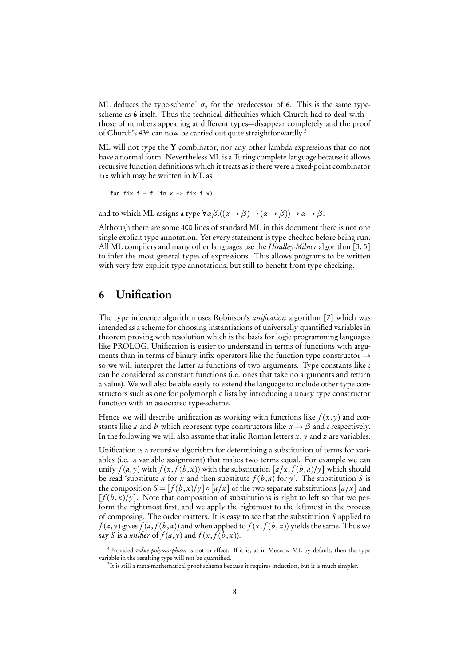ML deduces the type-scheme<sup>4</sup>  $\sigma_2$  for the predecessor of 6. This is the same typescheme as 6 itself. Thus the technical difficulties which Church had to deal with those of numbers appearing at different types—disappear completely and the proof of Church's 43<sup>*a*</sup> can now be carried out quite straightforwardly.<sup>5</sup>

ML will not type the Y combinator, nor any other lambda expressions that do not have a normal form. Nevertheless ML is a Turing complete language because it allows recursive function definitions which it treats as if there were a fixed-point combinator fix which may be written in ML as

fun fix  $f = f$  (fn  $x \Rightarrow f$ ix f  $x$ )

and to which ML assigns a type  $\forall \alpha \beta . ((\alpha \rightarrow \beta) \rightarrow (\alpha \rightarrow \beta)) \rightarrow \alpha \rightarrow \beta$ .

Although there are some 400 lines of standard ML in this document there is not one single explicit type annotation. Yet every statement is type-checked before being run. All ML compilers and many other languages use the *Hindley-Milner* algorithm [3, 5] to infer the most general types of expressions. This allows programs to be written with very few explicit type annotations, but still to benefit from type checking.

#### 6 Unification

The type inference algorithm uses Robinson's *unification* algorithm [7] which was intended as a scheme for choosing instantiations of universally quantified variables in theorem proving with resolution which is the basis for logic programming languages like PROLOG. Unification is easier to understand in terms of functions with arguments than in terms of binary infix operators like the function type constructor  $\rightarrow$ so we will interpret the latter as functions of two arguments. Type constants like *ι* can be considered as constant functions (i.e. ones that take no arguments and return a value). We will also be able easily to extend the language to include other type constructors such as one for polymorphic lists by introducing a unary type constructor function with an associated type-scheme.

Hence we will describe unification as working with functions like  $f(x, y)$  and constants like *a* and *b* which represent type constructors like  $\alpha \rightarrow \beta$  and *ι* respectively. In the following we will also assume that italic Roman letters  $x$ ,  $y$  and  $z$  are variables.

Unification is a recursive algorithm for determining a substitution of terms for variables (i.e. a variable assignment) that makes two terms equal. For example we can unify  $f(a, y)$  with  $f(x, f(b, x))$  with the substitution  $\lbrack a/x, f(b, a)/y \rbrack$  which should be read 'substitute a for x and then substitute  $f(b,a)$  for y'. The substitution S is the composition  $S = [f(b, x)/y] \circ [a/x]$  of the two separate substitutions  $[a/x]$  and  $[f(b,x)/y]$ . Note that composition of substitutions is right to left so that we perform the rightmost first, and we apply the rightmost to the leftmost in the process of composing. The order matters. It is easy to see that the substitution S applied to  $f(a, y)$  gives  $f(a, f(b, a))$  and when applied to  $f(x, f(b, x))$  yields the same. Thus we say S is a *unifier* of  $f(a, y)$  and  $f(x, f(b, x))$ .

<sup>&</sup>lt;sup>4</sup>Provided *value polymorphism* is not in effect. If it is, as in Moscow ML by default, then the type variable in the resulting type will not be quantified.

<sup>&</sup>lt;sup>5</sup>It is still a meta-mathematical proof schema because it requires induction, but it is much simpler.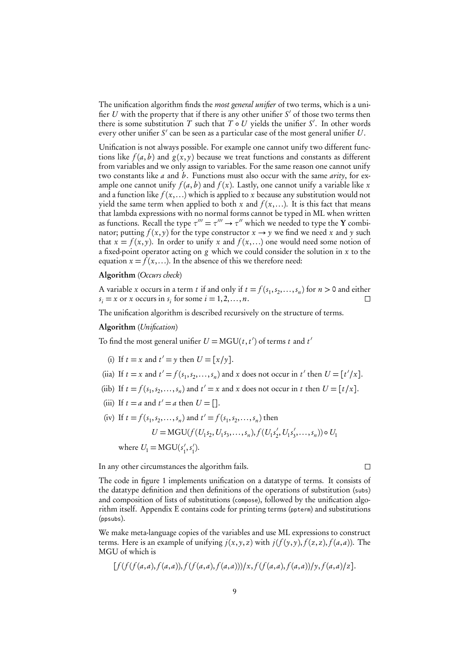The unification algorithm finds the *most general unifier* of two terms, which is a unifier U with the property that if there is any other unifier  $S'$  of those two terms then there is some substitution T such that  $T \circ U$  yields the unifier S'. In other words every other unifier  $S'$  can be seen as a particular case of the most general unifier  $U.$ 

Unification is not always possible. For example one cannot unify two different functions like  $f(a, b)$  and  $g(x, y)$  because we treat functions and constants as different from variables and we only assign to variables. For the same reason one cannot unify two constants like *a* and *b*. Functions must also occur with the same *arity*, for example one cannot unify  $f(a, b)$  and  $f(x)$ . Lastly, one cannot unify a variable like x and a function like  $f(x,...)$  which is applied to x because any substitution would not yield the same term when applied to both x and  $f(x,...)$ . It is this fact that means that lambda expressions with no normal forms cannot be typed in ML when written as functions. Recall the type  $\tau''' = \tau''' \rightarrow \tau''$  which we needed to type the **Y** combinator; putting  $f(x, y)$  for the type constructor  $x \to y$  we find we need x and y such that  $x = f(x, y)$ . In order to unify x and  $f(x,...)$  one would need some notion of a fixed-point operator acting on  $g$  which we could consider the solution in  $x$  to the equation  $x = f(x,...)$ . In the absence of this we therefore need:

#### Algorithm (Occurs check)

A variable x occurs in a term t if and only if  $t = f(s_1, s_2, \ldots, s_n)$  for  $n > 0$  and either  $s_i = x$  or x occurs in  $s_i$  for some  $i = 1, 2, ..., n$ .  $\Box$ 

The unification algorithm is described recursively on the structure of terms.

#### Algorithm (Unification)

To find the most general unifier  $U = \text{MGU}(t, t')$  of terms t and t'

- (i) If  $t = x$  and  $t' = y$  then  $U = [x/y]$ .
- (iia) If  $t = x$  and  $t' = f(s_1, s_2, \dots, s_n)$  and x does not occur in t' then  $U = [t'/x]$ .
- (iib) If  $t = f(s_1, s_2, \dots, s_n)$  and  $t' = x$  and x does not occur in t then  $U = [t/x]$ .
- (iii) If  $t = a$  and  $t' = a$  then  $U = []$ .
- (iv) If  $t = f(s_1, s_2, \dots, s_n)$  and  $t' = f(s_1, s_2, \dots, s_n)$  then  $U = \text{MGU}(f(U_1s_2, U_1s_3, \ldots, s_n), f(U_1s'_2))$  $C_2, U_1 s_3'$  $(\zeta_3',\ldots,\zeta_n)) \circ U_1$ where  $U_1 = \text{MGU}(s_1)$  $s'_1, s'_1$  $\binom{7}{1}$ .

In any other circumstances the algorithm fails.

The code in figure 1 implements unification on a datatype of terms. It consists of the datatype definition and then definitions of the operations of substitution (subs) and composition of lists of substitutions (compose), followed by the unification algorithm itself. Appendix E contains code for printing terms (ppterm) and substitutions (ppsubs).

We make meta-language copies of the variables and use ML expressions to construct terms. Here is an example of unifying  $j(x, y, z)$  with  $j(f(y, y), f(z, z), f(a, a))$ . The MGU of which is

$$
[f(f(f(a,a),f(a,a)),f(f(a,a),f(a,a)))/x,f(f(a,a),f(a,a))/y,f(a,a)/z].
$$

 $\Box$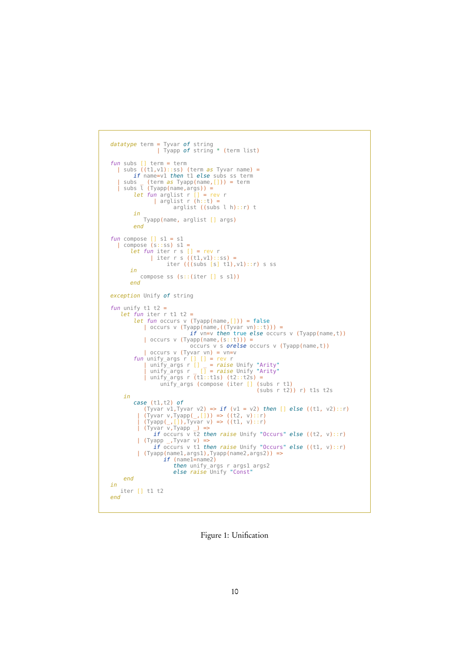```
datatype term = Tyvar of string
| Tyapp of string * (term list)
 fun subs [] term = term
| subs ((t1,v1)::ss) (term as Tyvar name) =
if name=v1 then t1 else subs ss term
     | subs _ (term as Tyapp(name,[])) = term<br>| subs l (Tyapp(name,args)) =
               let fun arglist r [] = rev r
| arglist r (h::t) =
                                      arglist ((subs l h)::r) t
               in
Tyapp(name, arglist [] args)
              end
fun compose [] s1 = s1
     | compose (s::ss) s1 =
let fun iter r s [] = rev r
| iter r s ((t1,v1)::ss) =
                                iter (((subs [s] t1), v1) : r) s ss
             in
                 compose ss (s::(iter [] s s1))
            end
exception Unify of string
fun unify t1 t2 =
      let fun iter r tl t2 =
               let fun occurs v (Tyapp(name,[])) = false<br>
| occurs v (Tyapp(name,((Tyvar vn)::t))) =<br>
if vn=v then true else occurs v (Tyapp(name,t))<br>
| occurs v (Tyapp(name,t)) =<br>
occurs v s orelse occurs v (Tyapp(name,t))
               | occurs v (Tyvar vn) = vn=v<br>
fun unify_args r [] [] = rev r<br>
| unify_args r [] = raise Unify "Arity"<br>
| unify_args r [] = raise Unify "Arity"<br>
| unify_args r (t1::tls) (t2::t2s) =<br>
unify_args (compose (iter [] (subs r t1
        in
               case (t1,t2) of<br>
(Tyvar v1,Tyvar v2) => if (v1 = v2) then [] else ((t1, v2)::r)<br>
| (Tyvar v,Tyapp(_,[])) => ((t2, v)::r)<br>
| (Tyapp(_,[]),Tyvar v) => ((t1, v)::r)<br>
| (Tyapp(_,[]),Tyvar v) => ((t1, v)::r)<br>
| (Tyapp _,Tyvar 
                if (Tyapp (name1, args1), Tyapp (name2, args2)) =><br>if (name1=name2)
                                       then unify_args r args1 args2
else raise Unify "Const"
        end
in
     iter [] t1 t2
end
```
Figure 1: Unification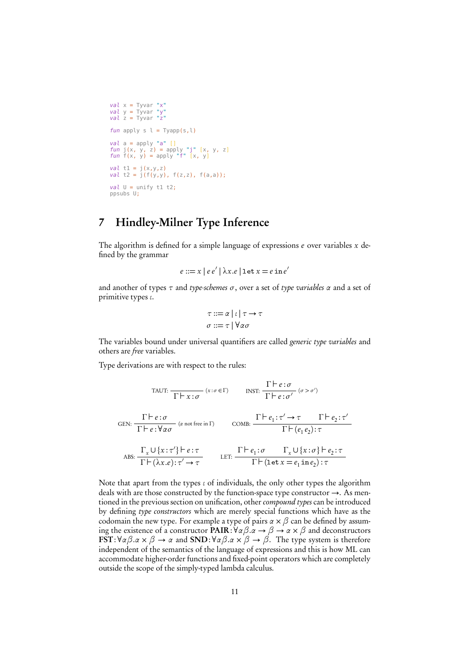```
val x = Tyvar "x"val y = Tyvar "y"
val z = Tyvar "z"
fun apply s \, l = \text{Tyapp}(s, l)val a = apply "a" []
fun j(x, y, z) = apply "j" [x, y, z]
fun f(x, y) = apply "f" [x, y]
val t1 = j(x,y,z)
val t2 = j(f(y,y), f(z,z), f(a,a));
val U = unify t1 t2:
ppsubs U;
```
## 7 Hindley-Milner Type Inference

The algorithm is defined for a simple language of expressions  $e$  over variables  $x$  defined by the grammar

$$
e ::= x \mid e \, e' \mid \lambda x. e \mid \text{let } x = e \, \text{in } e'
$$

and another of types *τ* and type-schemes *σ*, over a set of type variables *α* and a set of primitive types *ι*.

$$
\tau ::= \alpha \mid \iota \mid \tau \to \tau
$$

$$
\sigma ::= \tau \mid \forall \alpha \sigma
$$

The variables bound under universal quantifiers are called generic type variables and others are free variables.

Type derivations are with respect to the rules:

TAUT: 
$$
\frac{\Gamma \vdash e : \sigma}{\Gamma \vdash x : \sigma}
$$
 (x:  $\sigma \in \Gamma$ )  
\n $\text{PST: } \frac{\Gamma \vdash e : \sigma}{\Gamma \vdash e : \sigma'}$  ( $\sigma > \sigma'$ )  
\nGEN:  $\frac{\Gamma \vdash e : \sigma}{\Gamma \vdash e : \forall \alpha \sigma}$  (a not free in  $\Gamma$ )  
\n $\text{COMB: } \frac{\Gamma \vdash e_1 : \tau' \rightarrow \tau \quad \Gamma \vdash e_2 : \tau'}{\Gamma \vdash (e_1 e_2) : \tau}$   
\n $\text{ABS: } \frac{\Gamma_x \cup \{x : \tau'\} \vdash e : \tau}{\Gamma \vdash (\lambda x . e) : \tau' \rightarrow \tau}$ LET:  $\frac{\Gamma \vdash e_1 : \sigma \quad \Gamma_x \cup \{x : \sigma\} \vdash e_2 : \tau}{\Gamma \vdash (\text{let } x = e_1 \text{ in } e_2) : \tau}$ 

Note that apart from the types *ι* of individuals, the only other types the algorithm deals with are those constructed by the function-space type constructor  $\rightarrow$ . As mentioned in the previous section on unification, other compound types can be introduced by defining type constructors which are merely special functions which have as the codomain the new type. For example a type of pairs  $\alpha \times \beta$  can be defined by assuming the existence of a constructor PAIR:∀*αβ*.*α* → *β* → *α* × *β* and deconstructors FST:∀*αβ*.*α* × *β* → *α* and SND:∀*αβ*.*α* × *β* → *β*. The type system is therefore independent of the semantics of the language of expressions and this is how ML can accommodate higher-order functions and fixed-point operators which are completely outside the scope of the simply-typed lambda calculus.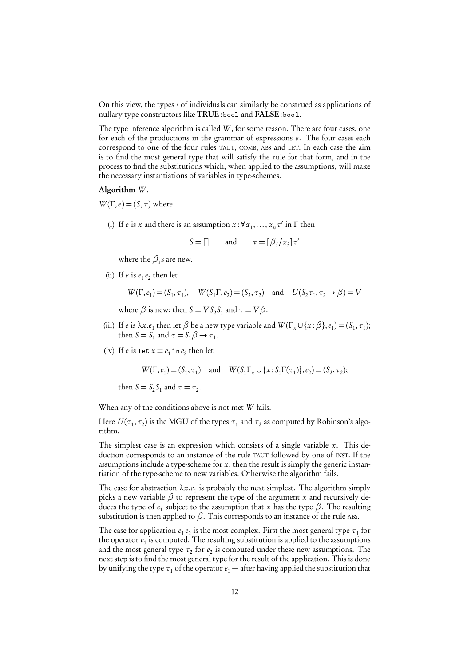On this view, the types *ι* of individuals can similarly be construed as applications of nullary type constructors like TRUE: bool and FALSE: bool.

The type inference algorithm is called W, for some reason. There are four cases, one for each of the productions in the grammar of expressions e. The four cases each correspond to one of the four rules TAUT, COMB, ABS and LET. In each case the aim is to find the most general type that will satisfy the rule for that form, and in the process to find the substitutions which, when applied to the assumptions, will make the necessary instantiations of variables in type-schemes.

#### Algorithm W.

 $W(\Gamma,e) = (S,\tau)$  where

(i) If *e* is *x* and there is an assumption  $x : \forall \alpha_1, ..., \alpha_n \tau'$  in  $\Gamma$  then

 $S = []$  and  $\tau = [\beta_i / \alpha_i] \tau'$ 

where the  $\beta_i$ s are new.

(ii) If  $e$  is  $e_1 e_2$  then let

$$
W(\Gamma, e_1) = (S_1, \tau_1), \quad W(S_1 \Gamma, e_2) = (S_2, \tau_2) \quad \text{and} \quad U(S_2 \tau_1, \tau_2 \to \beta) = V
$$

where  $\beta$  is new; then  $S = VS_2S_1$  and  $\tau = V\beta$ .

- (iii) If e is  $\lambda x.e_1$  then let  $\beta$  be a new type variable and  $W(\Gamma_x \cup \{x : \beta\}, e_1) = (S_1, \tau_1);$ then  $S = S_1$  and  $\tau = S_1 \beta \rightarrow \tau_1$ .
- (iv) If *e* is let  $x = e_1$  in  $e_2$  then let

$$
W(\Gamma, e_1) = (S_1, \tau_1) \quad \text{and} \quad W(S_1 \Gamma_x \cup \{x : \overline{S_1 \Gamma}(\tau_1)\}, e_2) = (S_2, \tau_2);
$$

then  $S = S_2 S_1$  and  $\tau = \tau_2$ .

When any of the conditions above is not met W fails.

 $\Box$ 

Here  $U(\tau_1, \tau_2)$  is the MGU of the types  $\tau_1$  and  $\tau_2$  as computed by Robinson's algorithm.

The simplest case is an expression which consists of a single variable  $x$ . This deduction corresponds to an instance of the rule TAUT followed by one of INST. If the assumptions include a type-scheme for  $x$ , then the result is simply the generic instantiation of the type-scheme to new variables. Otherwise the algorithm fails.

The case for abstraction  $\lambda x.e_1$  is probably the next simplest. The algorithm simply picks a new variable *β* to represent the type of the argument x and recursively deduces the type of  $e_1$  subject to the assumption that x has the type  $\beta$ . The resulting substitution is then applied to  $\beta$ . This corresponds to an instance of the rule ABS.

The case for application  $e_1 e_2$  is the most complex. First the most general type  $\tau_1$  for the operator  $e_1$  is computed. The resulting substitution is applied to the assumptions and the most general type  $\tau_2$  for  $e_2$  is computed under these new assumptions. The next step is to find the most general type for the result of the application. This is done by unifying the type  $\tau_1$  of the operator  $e_1$  — after having applied the substitution that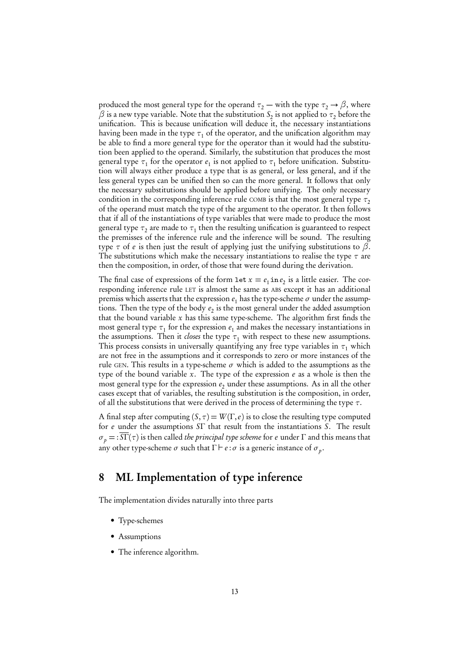produced the most general type for the operand  $\tau_2$  — with the type  $\tau_2 \rightarrow \beta$ , where  $\beta$  is a new type variable. Note that the substitution  $\mathit S_2$  is not applied to  $\tau_2$  before the unification. This is because unification will deduce it, the necessary instantiations having been made in the type  $\tau_1$  of the operator, and the unification algorithm may be able to find a more general type for the operator than it would had the substitution been applied to the operand. Similarly, the substitution that produces the most general type  $\tau_1$  for the operator  $e_1$  is not applied to  $\tau_1$  before unification. Substitution will always either produce a type that is as general, or less general, and if the less general types can be unified then so can the more general. It follows that only the necessary substitutions should be applied before unifying. The only necessary condition in the corresponding inference rule COMB is that the most general type  $\tau$ , of the operand must match the type of the argument to the operator. It then follows that if all of the instantiations of type variables that were made to produce the most general type  $\tau_2$  are made to  $\tau_1$  then the resulting unification is guaranteed to respect the premisses of the inference rule and the inference will be sound. The resulting type *τ* of e is then just the result of applying just the unifying substitutions to *β*. The substitutions which make the necessary instantiations to realise the type  $\tau$  are then the composition, in order, of those that were found during the derivation.

The final case of expressions of the form  $\text{let } x = e_1 \text{ in } e_2$  is a little easier. The corresponding inference rule LET is almost the same as ABS except it has an additional premiss which asserts that the expression  $e_1$  has the type-scheme  $\sigma$  under the assumptions. Then the type of the body  $e_2$  is the most general under the added assumption that the bound variable  $x$  has this same type-scheme. The algorithm first finds the most general type  $\tau_1$  for the expression  $e_1$  and makes the necessary instantiations in the assumptions. Then it *closes* the type  $\tau_1$  with respect to these new assumptions. This process consists in universally quantifying any free type variables in  $\tau_1$  which are not free in the assumptions and it corresponds to zero or more instances of the rule GEN. This results in a type-scheme  $\sigma$  which is added to the assumptions as the type of the bound variable x. The type of the expression  $e$  as a whole is then the most general type for the expression  $e_2$  under these assumptions. As in all the other cases except that of variables, the resulting substitution is the composition, in order, of all the substitutions that were derived in the process of determining the type *τ*.

A final step after computing  $(S, \tau) = W(\Gamma, e)$  is to close the resulting type computed for e under the assumptions SΓ that result from the instantiations S. The result  $\sigma_p = : S\Gamma(\tau)$  is then called *the principal type scheme* for *e* under  $\Gamma$  and this means that any other type-scheme  $\sigma$  such that  $\Gamma \vdash e : \sigma$  is a generic instance of  $\sigma_p$ .

#### 8 ML Implementation of type inference

The implementation divides naturally into three parts

- Type-schemes
- Assumptions
- The inference algorithm.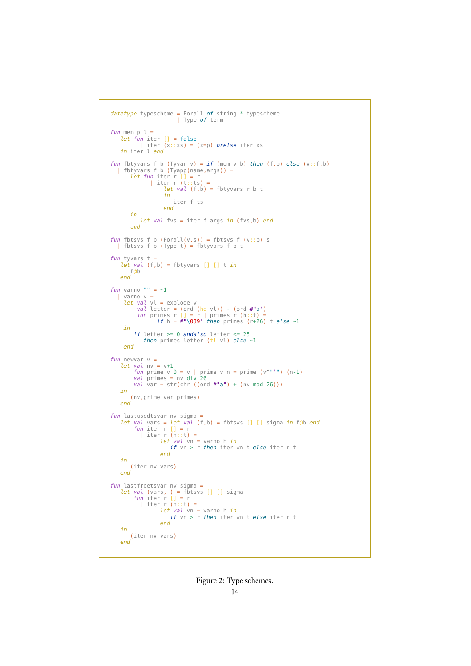```
datatype typescheme = Forall of string * typescheme
                         | Type of term
fun mem p l =<br>
let fun iter [] = false<br>
| iter (x::xs) = (x=p) orelse iter xs<br>
in iter l end
fun fbtyvars f b (Tyvar v) = if (mem v b) then (f, b) else (v::f,b)
  | fbtyvars f b (Tyapp(name,args)) =let fun iter r [] = r
| iter r (t::ts) =
let val (f,b) = fbtyvars r b t
                     in
                        iter f ts
                     end
        in
           let val fvs = iter f args in (fvs,b) end
        end
fun fbtsvs f b (Forall(v,s)) = fbtsvs f (v::b) s
  | fbtsvs f b (Type t) = fbtyvars f b tfun tyvars t =let val (f,b) = fbtyvars [] [] t in
       f@b
    end
fun varno "" = -1| varno v =
     let val vl = explode v<br>
val letter = (ord (hd vl)) - (ord #"a")<br>
fun primes r [] = r | primes r (h::t) =<br>
if h = #"\039" then primes (r+26) t else ~1
     in
        if letter >= 0 andalso letter <= 25
            then primes letter (tl vl) else \sim1
     end
fun newvar v =let val nv = v+1fun prime v 0 = v | prime v n = prime (v^"'") (n-1)
val primes = nv div 26
        val \frac{1}{100} = inv div 20<br>val var = str(chr ((ord #"a") + (nv mod 26)))
   in
       (nv,prime var primes)
   end
fun lastusedtsvar nv sigma =
let val vars = let val (f,b) = fbtsvs [] [] sigma in f@b end
fun iter r [] = r
           | iter r (h::t) =let val vn = varno h in
if vn > r then iter vn t else iter r t
                    end
    in
        (iter nv vars)
   end
fun lastfreetsvar nv sigma =
    let val (vars,_) = fbtsvs [] [] sigma
fun iter r [] = r
| iter r (h::t) =
                    let val vn = varno h in
if vn > r then iter vn t else iter r t
                    end
    in
       (iter nv vars)
   end
```
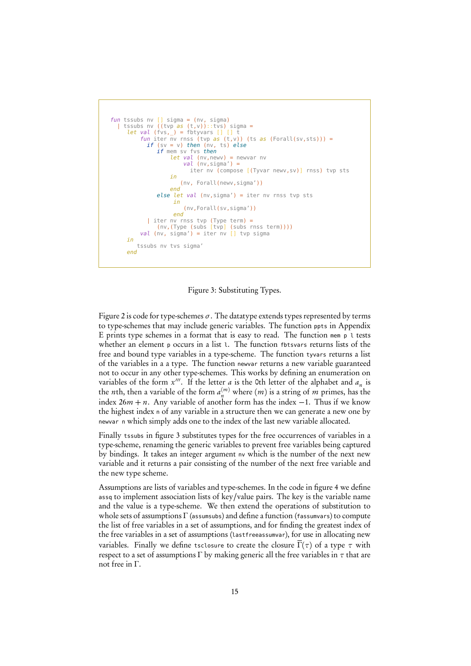```
fun tssubs nv [] sigma = (nv, sigma)<br>| tssubs nv ((tvp as (t,v))::tvs) sigma =
      let val (fvs, _) = fbtyvars [] [] t<br>
fun iter nv rnss (tvp as (t,v)) (ts as (Forall(sv,sts))) =
              if (sv = v) then (nv, ts) else
                  if mem sv fvs then
                        let val (nv, newv) = newvar nvval (nv, sigma') =
                                iter nv (compose [(Tyvar newv,sv)] rnss) tvp sts
                        in
                            (nv, Forall(newv,sigma'))
                        end
                  else let val (nv, sigma') = iter nv rnss tvp sts
                         in
                             (nv,Forall(sv,sigma'))
                         end
            | iter nv rnss tvp (Type term) =
(nv,(Type (subs [tvp] (subs rnss term))))
val (nv, sigma') = iter nv [] tvp sigma
      in
          tssubs nv tvs sigma'
      end
```
Figure 3: Substituting Types.

Figure 2 is code for type-schemes *σ*. The datatype extends types represented by terms to type-schemes that may include generic variables. The function ppts in Appendix E prints type schemes in a format that is easy to read. The function mem p l tests whether an element p occurs in a list 1. The function fbtsvars returns lists of the free and bound type variables in a type-scheme. The function tyvars returns a list of the variables in a a type. The function newvar returns a new variable guaranteed not to occur in any other type-schemes. This works by defining an enumeration on variables of the form  $x'''$ . If the letter *a* is the 0th letter of the alphabet and  $a_n$  is the *n*th, then a variable of the form  $a_n^{(m)}$  where  $(m)$  is a string of  $m$  primes, has the index  $26m + n$ . Any variable of another form has the index  $-1$ . Thus if we know the highest index <sup>n</sup> of any variable in a structure then we can generate a new one by newvar n which simply adds one to the index of the last new variable allocated.

Finally tssubs in figure 3 substitutes types for the free occurrences of variables in a type-scheme, renaming the generic variables to prevent free variables being captured by bindings. It takes an integer argument nv which is the number of the next new variable and it returns a pair consisting of the number of the next free variable and the new type scheme.

Assumptions are lists of variables and type-schemes. In the code in figure 4 we define assq to implement association lists of key/value pairs. The key is the variable name and the value is a type-scheme. We then extend the operations of substitution to whole sets of assumptions  $\Gamma$  (assumsubs) and define a function (fassumvars) to compute the list of free variables in a set of assumptions, and for finding the greatest index of the free variables in a set of assumptions (lastfreeassumvar), for use in allocating new variables. Finally we define tsclosure to create the closure  $\Gamma(\tau)$  of a type  $\tau$  with respect to a set of assumptions  $\Gamma$  by making generic all the free variables in  $\tau$  that are not free in Γ.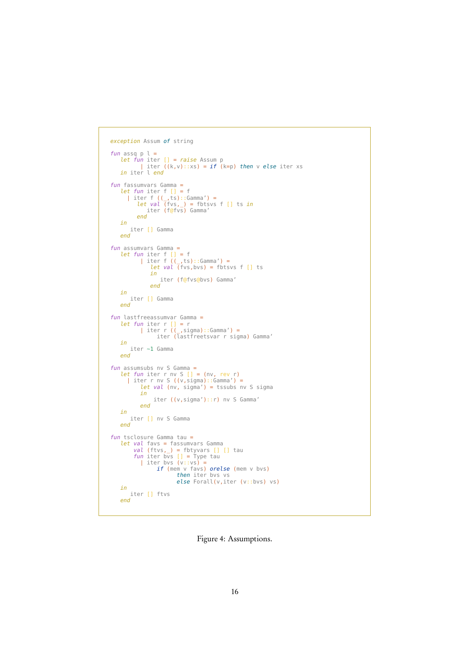```
exception Assum of string
fun assq p l =<br>
let fun iter [] = raise Assum p<br>
| iter ((k,v)::xs) = if (k=p) then v else iter xs<br>
in iter l end
fun fassumvars Gamma =<br>
let fun iter f [] = f<br>
| iter f ((_,ts)::Gamma') =<br>
let val (fvs,_) = fbtsvs f [] ts in<br>
iter (f@fvs) Gamma'
              end
     in
         iter [] Gamma
     end
fun assumvars Gamma =
      let fun iter f [] = f
| iter f ((_,ts)::Gamma') =
let val (fvs,bvs) = fbtsvs f [] ts
                       in
iter (f@fvs@bvs) Gamma'
                     end
     in
         iter [] Gamma
     end
fun lastfreeassumvar Gamma =
      let fun iter r [] = r
| iter r ((_,sigma)::Gamma') =
iter (lastfreetsvar r sigma) Gamma'
      in<br>iter ~1 Gamma<br>end
fun assumsubs nv S Gamma =
      let fun iter r nv S [] = (nv, rev r)
| iter r nv S ((v,sigma)::Gamma') =
let val (nv, sigma') = tssubs nv S sigma
                in
                       iter ((v,sigma')::r) nv S Gamma'
                end
     in
          iter [] nv S Gamma
     end
fun tsclosure Gamma tau =
      let val favs = fassumvars Gamma<br>
val (ftvs,_) = fbtyvars [] [] tau<br>
fun iter bvs [] = Type tau<br>
| iter bvs (v:vs) =<br>
if (mem v favs) orelse (mem v bvs)<br>
then iter bvs vs<br>
else Forall(v,iter (v::bvs) vs)
     in
          iter [] ftvs
     end
```
Figure 4: Assumptions.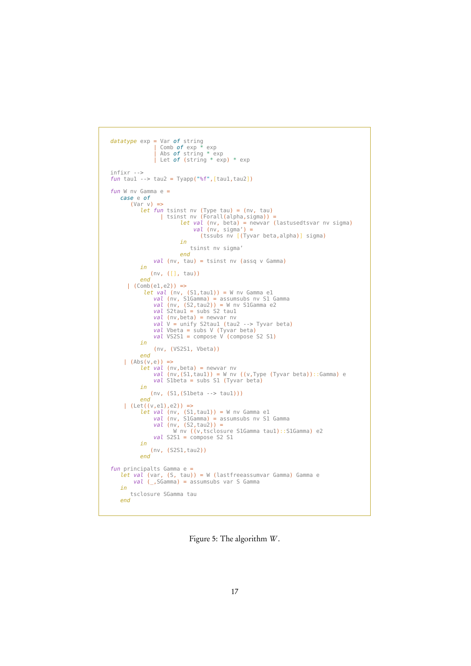```
datatype exp = Var of string
                    | Comb of exp * exp
                    | Abs of string * exp
| Let of (string * exp) * exp
infixr -->
fun tau1 \cdot > tau2 = Tyapp("%f", [tau1,tau2])
fun W nv Gamma e =case e of
         (Var v) =>
              let fun tsinst nv (Type tau) = (nv, tau)
| tsinst nv (Forall(alpha,sigma)) =
                                 let val (nv, beta) = newvar (lastusedtsvar nv sigma)
val (nv, sigma') =
                                         (tssubs nv [(Tyvar beta,alpha)] sigma)
                                 in
                                    tsinst nv sigma'
                                end
                    val (nv, tau) = tsinst nv (assq v Gamma)
              in
                   (nv, ([], tau))
              end
        | (Comb(e1,e2)) =>
let val (nv, (S1,tau1)) = W nv Gamma e1
val (nv, S1Gamma) = assumsubs nv S1 Gamma
val (nv, (S2,tau2)) = W nv S1Gamma e2
val S2tau1 = subs S2 tau1
                    val (nv, beta) = newvar nv
                    val V = unify S2tau1 (tau2 --> Tyvar beta)
val Vbeta = subs V (Tyvar beta)
val VS2S1 = compose V (compose S2 S1)
              in
                    (nv, (VS2S1, Vbeta))
              end
      (Abs(v,e)) \Rightarrowlet val (nv, beta) = newvar nv
                    val (nv,(S1,tau1)) = W nv ((v,Type (Tyvar beta))::Gamma) e
val S1beta = subs S1 (Tyvar beta)
              in
                   (nv, (S1,(S1beta --> tau1)))
              end
      | (Let((v,e1),e2)) =>
              let val (nv, (S1,tau1)) = W nv Gamma e1
val (nv, S1Gamma) = assumsubs nv S1 Gamma
val (nv, (S2,tau2)) =
W nv ((v,tsclosure S1Gamma tau1)::S1Gamma) e2
                   val S2S1 = compose S2 S1
              in
                  (nv, (S2S1,tau2))
              end
fun principalts Gamma e =
let val (var, (S, tau)) = W (lastfreeassumvar Gamma) Gamma e
val (_,SGamma) = assumsubs var S Gamma
    in
         tsclosure SGamma tau
    end
```
Figure 5: The algorithm W.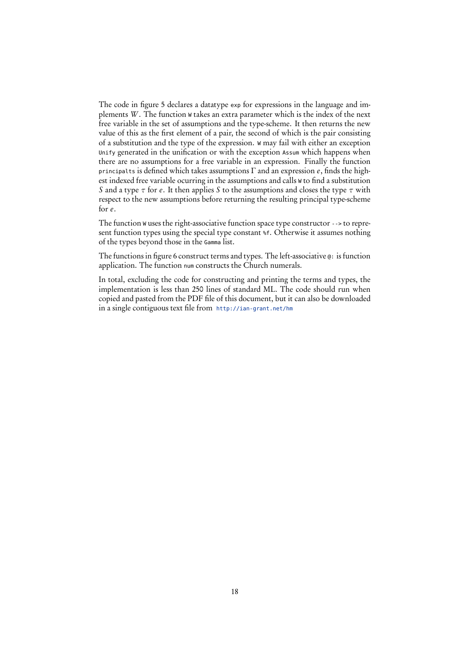The code in figure 5 declares a datatype exp for expressions in the language and implements W . The function <sup>W</sup> takes an extra parameter which is the index of the next free variable in the set of assumptions and the type-scheme. It then returns the new value of this as the first element of a pair, the second of which is the pair consisting of a substitution and the type of the expression. W may fail with either an exception Unify generated in the unification or with the exception Assum which happens when there are no assumptions for a free variable in an expression. Finally the function principalts is defined which takes assumptions  $\Gamma$  and an expression  $e$ , finds the highest indexed free variable ocurring in the assumptions and calls W to find a substitution S and a type *τ* for e. It then applies S to the assumptions and closes the type *τ* with respect to the new assumptions before returning the resulting principal type-scheme for e.

The function W uses the right-associative function space type constructor  $\cdot$ -> to represent function types using the special type constant %f. Otherwise it assumes nothing of the types beyond those in the Gamma list.

The functions in figure 6 construct terms and types. The left-associative @: is function application. The function num constructs the Church numerals.

In total, excluding the code for constructing and printing the terms and types, the implementation is less than 250 lines of standard ML. The code should run when copied and pasted from the PDF file of this document, but it can also be downloaded in a single contiguous text file from <http://ian-grant.net/hm>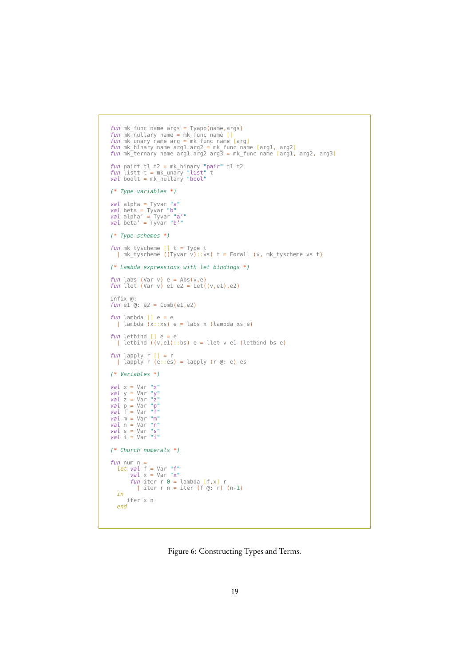```
fun mk_func name args = Tyapp(name, args)
fun mk_nullary name = mk_func name []
fun mk_unary name arg = mk_func name [arg]
fun mk_binary name arg1 arg2 = mk_func name [arg1, arg2]
fun mk_ternary name arg1 arg2 arg3 = mk_func name [arg1, arg2, arg3]
fun pairt t1 t2 = mk_binary "pair" t1 t2
fun listt t = mk_unary "list" t
val boolt = mk_nullary "bool"
(* Type variables *)
val alpha = Tyvar "a"
val beta = Tyvar "b"
val alpha' = Tyvar "a'"
val beta' = Tyvar "b'"
(* Type-schemes *)
fun mk tyscheme [] t = Type t
  \frac{m}{m} mk_tyscheme ((Tyvar v)::vs) t = Forall (v, mk_tyscheme vs t)
(* Lambda expressions with let bindings *)
fun labs (Var v) e = Abs(v,e)fun llet (Var v) e1 e2 = Let((v,e1),e2)
infix @:
fun el @: e2 = Comb(e1,e2)fun lambda [] e = e| lambda (x::xs) e = labs x (lambda xs e)
\begin{array}{c} \textit{fun}\ \textit{letbind}\ \texttt{[]}\ \texttt{e}=\texttt{e}\ \texttt{I}\ \textit{letbind}\ \texttt{(v,e1)::bs}\ \texttt{e}=\texttt{let}\ \texttt{v}\ \texttt{e1}\ \textit{letbind}\ \texttt{bs}\ \texttt{e}\ \end{array}fun lapply r [] = r<br>| lapply r (e::es) = lapply (r @: e) es
(* Variables *)
val \times = Var "x"val y = Var "y"
val z = Var "z"
val p = Var "p"
val f = Var "f"
val \t m = Var "m"val n = Var "n"
val s = Var "s"
val i = Var "i"(* Church numerals *)
fun num n =
let val f = Var "f"
          val x = Var "x"
fun iter r 0 = lambda [f,x] r
| iter r n = iter (f @: r) (n-1)
    in
iter x n
   end
```
Figure 6: Constructing Types and Terms.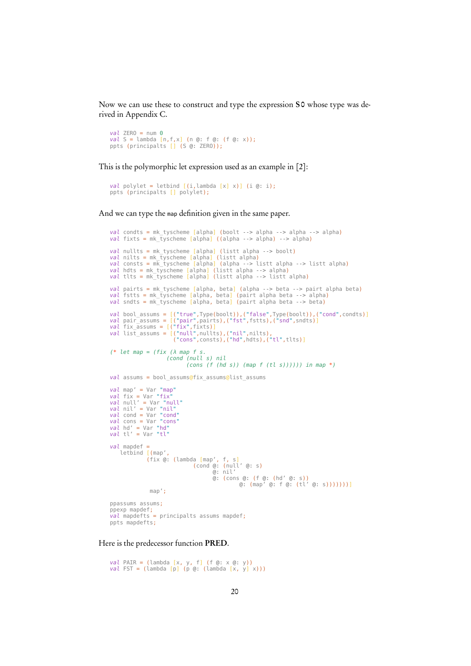Now we can use these to construct and type the expression S0 whose type was derived in Appendix C.

```
val ZERO = num \thetaval S = lambda [n,f,x] (n @: f @: (f @: x));
ppts (principalts [] (S @: ZERO));
```
This is the polymorphic let expression used as an example in [2]:

```
val polylet = letbind [(i,lambda [x] x)] (i (i, i);
ppts (principalts [] polylet);
```
And we can type the map definition given in the same paper.

```
val condts = mk_tyscheme [alpha] (boolt --> alpha --> alpha --> alpha)
val fixts = mk_tyscheme [alpha] ((alpha --> alpha) --> alpha)
val nullts = mk_tyscheme [alpha] (listt alpha --> boolt)<br>val nilts = mk_tyscheme [alpha] (listt alpha)<br>val consts = mk_tyscheme [alpha] (alpha --> listt alpha --> listt alpha)<br>val hdts = mk_tyscheme [alpha] (listt 
val pairts = mk_tyscheme [alpha, beta] (alpha --> beta --> pairt alpha beta)
val fstts = mk_tyscheme [alpha, beta] (pairt alpha beta --> alpha)
val sndts = mk_tyscheme [alpha, beta] (pairt alpha beta --> beta)
val bool_assums = [("true",Type(boolt)),("false",Type(boolt)),("cond",condts)]<br>val pair_assums = [("pair",pairs),("fst",fstts),("snd",sndts)]<br>val fix_assums = [("fix",fixts)]<br>val list_assums = [("null",nullts),("nil",nilts
(* let map = (fix \ (\lambda \text{ map } f s.(cond (null s) nil
(cons (f (hd s)) (map f (tl s)))))) in map *)
val assums = bool assums@fix assums@list assums
val map' = Var "map"
val fix = Var "fix"
val null' = Var "null"
val nil' = Var "nil"
val cond = Var "cond"
val cons = Var "cons"
val hd' = Var "hd"
val tl' = Var "tl"
val mapdef =
      letbind [(map',
                      (fix @: (lambda [map', f, s]
(cond @: (null' @: s)
@: nil'
                                                              @: (cons @: (f @: (hd' @: s))
@: (map' @: f @: (tl' @: s)))))))]
                       map';
ppassums assums;
ppexp mapdef;
val mapdefts = principalts assums mapdef;
ppts mapdefts;
```
Here is the predecessor function PRED.

```
val PAIR = (lambda [x, y, f] (f @: x @: y))
val FST = (lambda [p] (p @: (lambda [x, y] x)))
```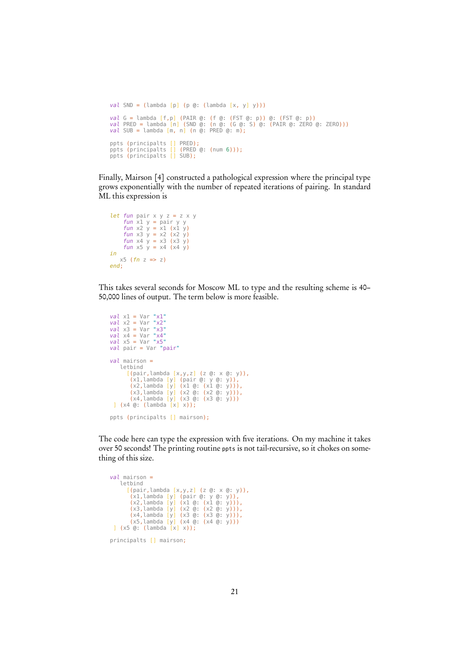```
val SND = (\text{lambda } [p] (p @: (\text{lambda } [x, y] y)))val G = lambda [f,p] (PAIR @: (f @: (FST @: p)) @: (FST @: p))
val PRED = lambda [n] (SND @: (n @: (G @: S) @: (PAIR @: ZERO @: ZERO)))
val SUB = lambda [m, n] (n @: PRED @: m);
ppts (principalts [] PRED);
ppts (principalts [] (PRED @: (num 6)));
ppts (principalts [] SUB);
```
Finally, Mairson [4] constructed a pathological expression where the principal type grows exponentially with the number of repeated iterations of pairing. In standard ML this expression is

```
let fun pair x \vee z = z \times yfun x1 y = pair y y<br>fun x2 y = x1 (x1 y)
        fun x3 y = x2 (x2 y)
fun x4 y = x3 (x3 y)
fun x5 y = x4 (x4 y)
in
     x5 (fn z => z)
end;
```
This takes several seconds for Moscow ML to type and the resulting scheme is 40– 50,000 lines of output. The term below is more feasible.

```
val \times 1 = Var "x1"val x^2 = Var "x2"
val x3 = Var "x3"
val x4 = Var "x4"
val x5 = Var "x5"
val pair = Var "pair"
val mairson =
     letbind
         [(pair,lambda [x,y,z] (z @: x @: y)),
(x1,lambda [y] (pair @: y @: y)),
(x2,lambda [y] (x1 @: (x1 @: y))),
(x3,lambda [y] (x2 @: (x2 @: y))),
(x4,lambda [y] (x3 @: (x3 @: y)))
 ] (x4 @: (lambda [x] x));
ppts (principalts [] mairson);
```
The code here can type the expression with five iterations. On my machine it takes over 50 seconds! The printing routine ppts is not tail-recursive, so it chokes on something of this size.

```
val mairson =
          letbind
    [(pair,lambda [x,y,z] (z @: x @: y)),<br>(x1,lambda [y] (pair @: y @: y)),<br>(x2,lambda [y] (x1 @: (x1 @: y))),<br>(x3,lambda [y] (x2 @: (x2 @: y))),<br>(x4,lambda [y] (x3 @: (x3 @: y))),<br>(x5,lambda [y] (x4 @: (x4 @: y))))<br>] (x5 @: 
principalts [] mairson;
```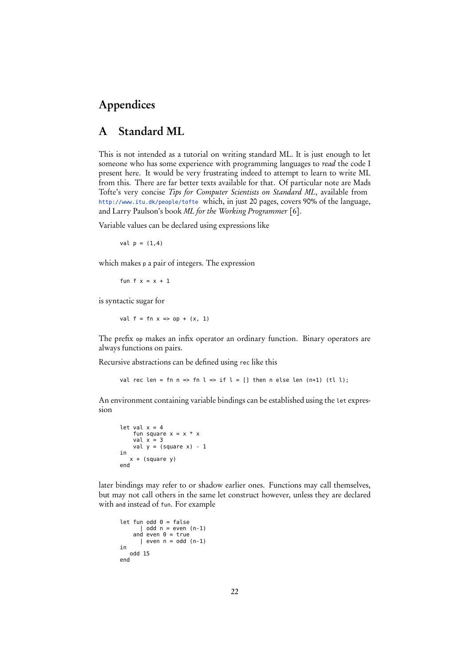# Appendices

### A Standard ML

This is not intended as a tutorial on writing standard ML. It is just enough to let someone who has some experience with programming languages to *read* the code I present here. It would be very frustrating indeed to attempt to learn to write ML from this. There are far better texts available for that. Of particular note are Mads Tofte's very concise Tips for Computer Scientists on Standard ML, available from <http://www.itu.dk/people/tofte> which, in just 20 pages, covers 90% of the language, and Larry Paulson's book ML for the Working Programmer [6].

Variable values can be declared using expressions like

val  $p = (1, 4)$ 

which makes <sup>p</sup> a pair of integers. The expression

fun f  $x = x + 1$ 

is syntactic sugar for

val  $f = fn \times => op + (x, 1)$ 

The prefix op makes an infix operator an ordinary function. Binary operators are always functions on pairs.

Recursive abstractions can be defined using rec like this

val rec len = fn n => fn l => if l = [] then n else len  $(n+1)$  (tl l);

An environment containing variable bindings can be established using the let expression

```
let val x = 4fun square x = x * xval x = 3
val y = (square x) - 1
in
   x + (square y)
end
```
later bindings may refer to or shadow earlier ones. Functions may call themselves, but may not call others in the same let construct however, unless they are declared with and instead of fun. For example

```
let fun odd 0 = false\vert odd n = even (n-1)and even 0 = true| even n = odd (n-1)in
  odd 15
end
```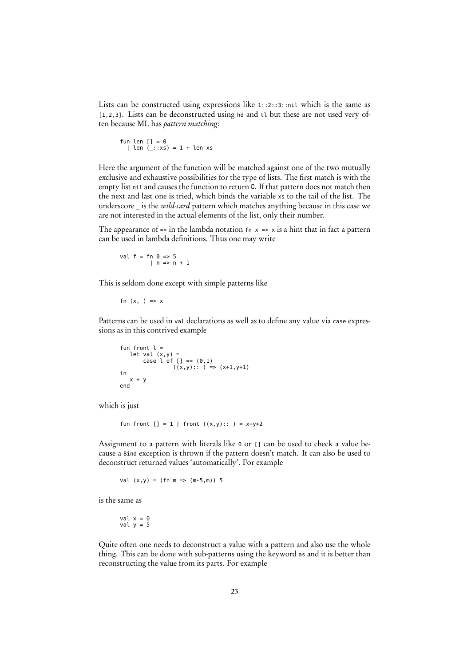Lists can be constructed using expressions like 1::2::3::nil which is the same as [1,2,3]. Lists can be deconstructed using hd and tl but these are not used very often because ML has pattern matching:

$$
\begin{array}{ll}\n\text{fun len} & \text{len} = 0 \\
\text{len} & \text{...} : \text{...} = 1 + \text{len} \times s\n\end{array}
$$

Here the argument of the function will be matched against one of the two mutually exclusive and exhaustive possibilities for the type of lists. The first match is with the empty list nil and causes the function to return 0. If that pattern does not match then the next and last one is tried, which binds the variable xs to the tail of the list. The underscore is the wild-card pattern which matches anything because in this case we are not interested in the actual elements of the list, only their number.

The appearance of => in the lambda notation  $f_n \times \frac{1}{x}$  is a hint that in fact a pattern can be used in lambda definitions. Thus one may write

```
val f = fn 0 \Rightarrow 5| n \Rightarrow n + 1
```
This is seldom done except with simple patterns like

$$
fn (x, _{\_}) \implies x
$$

Patterns can be used in val declarations as well as to define any value via case expressions as in this contrived example

```
fun front l =let val (x, y) =<br>
case l of [] = > (0, 1)<br>
\vert ((x, y) : : ) = > (x+1, y+1)in
     x + yend
```
which is just

```
fun front [ ] = 1 | front ((x,y) : : ) = x+y+2
```
Assignment to a pattern with literals like <sup>0</sup> or [] can be used to check a value because a Bind exception is thrown if the pattern doesn't match. It can also be used to deconstruct returned values 'automatically'. For example

val  $(x,y) = (fn m => (m-5,m)) 5$ 

is the same as

val x = 0 val y = 5

Quite often one needs to deconstruct a value with a pattern and also use the whole thing. This can be done with sub-patterns using the keyword as and it is better than reconstructing the value from its parts. For example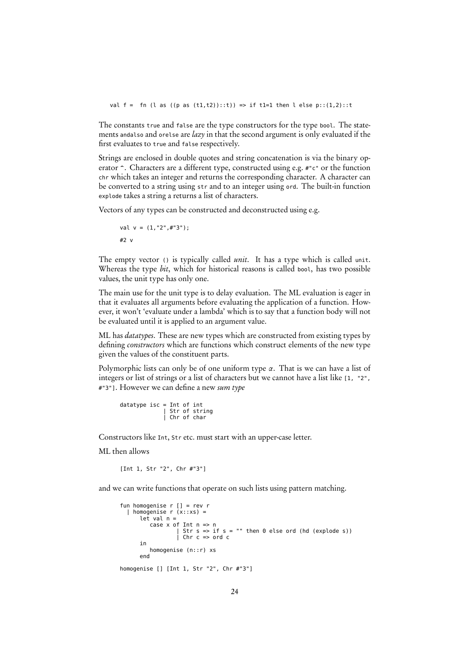val  $f = fn$  (l as  $((p \text{ as } (t1, t2))::t)) \Rightarrow if$  t1=1 then l else  $p::(1,2)::t$ 

The constants true and false are the type constructors for the type bool. The statements andalso and orelse are  $lazy$  in that the second argument is only evaluated if the first evaluates to true and false respectively.

Strings are enclosed in double quotes and string concatenation is via the binary operator  $\hat{\ }$ . Characters are a different type, constructed using e.g. #"c" or the function chr which takes an integer and returns the corresponding character. A character can be converted to a string using str and to an integer using ord. The built-in function explode takes a string a returns a list of characters.

Vectors of any types can be constructed and deconstructed using e.g.

```
val v = (1,"2",#"3");
#2 v
```
The empty vector () is typically called *unit*. It has a type which is called unit. Whereas the type bit, which for historical reasons is called boot, has two possible values, the unit type has only one.

The main use for the unit type is to delay evaluation. The ML evaluation is eager in that it evaluates all arguments before evaluating the application of a function. However, it won't 'evaluate under a lambda' which is to say that a function body will not be evaluated until it is applied to an argument value.

ML has *datatypes*. These are new types which are constructed from existing types by defining *constructors* which are functions which construct elements of the new type given the values of the constituent parts.

Polymorphic lists can only be of one uniform type *α*. That is we can have a list of integers or list of strings or a list of characters but we cannot have a list like [1, "2", #"3"]. However we can define a new sum type

datatype isc = Int of int | Str of string | Chr of char

Constructors like Int, Str etc. must start with an upper-case letter.

ML then allows

[Int 1, Str "2", Chr #"3"]

and we can write functions that operate on such lists using pattern matching.

```
fun homogenise r [] = rev r| homogenise r(x::xs) =let val n =case x of Int n => n
                   Str s => if s = "" then \theta else ord (hd (explode s))
                 | Chr c => ord c
      in
homogenise (n::r) xs
end
homogenise [] [Int 1, Str "2", Chr #"3"]
```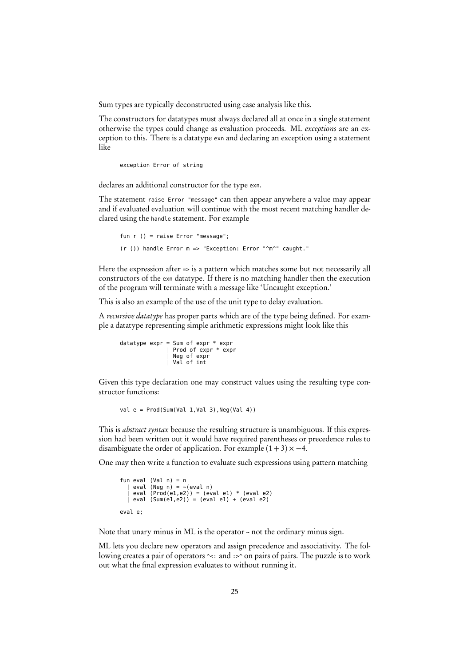Sum types are typically deconstructed using case analysis like this.

The constructors for datatypes must always declared all at once in a single statement otherwise the types could change as evaluation proceeds. ML exceptions are an exception to this. There is a datatype exn and declaring an exception using a statement like

```
exception Error of string
```
declares an additional constructor for the type exn.

The statement raise Error "message" can then appear anywhere a value may appear and if evaluated evaluation will continue with the most recent matching handler declared using the handle statement. For example

```
fun r () = raise Error "message";
(r ()) handle Error m => "Exception: Error "^m^" caught."
```
Here the expression after => is a pattern which matches some but not necessarily all constructors of the exn datatype. If there is no matching handler then the execution of the program will terminate with a message like 'Uncaught exception.'

This is also an example of the use of the unit type to delay evaluation.

A recursive datatype has proper parts which are of the type being defined. For example a datatype representing simple arithmetic expressions might look like this

```
datatype expr = Sum of expr * expr
| Prod of expr * expr
| Neg of expr
| Val of int
```
Given this type declaration one may construct values using the resulting type constructor functions:

val  $e = \text{Prod}(\text{Sum}(\text{Val } 1, \text{Val } 3)$ ,  $\text{Neg}(\text{Val } 4)$ )

This is *abstract syntax* because the resulting structure is unambiguous. If this expression had been written out it would have required parentheses or precedence rules to disambiguate the order of application. For example  $(1+3) \times -4$ .

One may then write a function to evaluate such expressions using pattern matching

```
fun eval (Val n) = n<br>| eval (Neg n) = ~(eval n)
    | eval (Prod(e1,e2)) = (eval e1) * (eval e2)
| eval (Sum(e1,e2)) = (eval e1) + (eval e2)
eval e;
```
Note that unary minus in ML is the operator <sup>~</sup> not the ordinary minus sign.

ML lets you declare new operators and assign precedence and associativity. The following creates a pair of operators  $\sim$ : and :>^ on pairs of pairs. The puzzle is to work out what the final expression evaluates to without running it.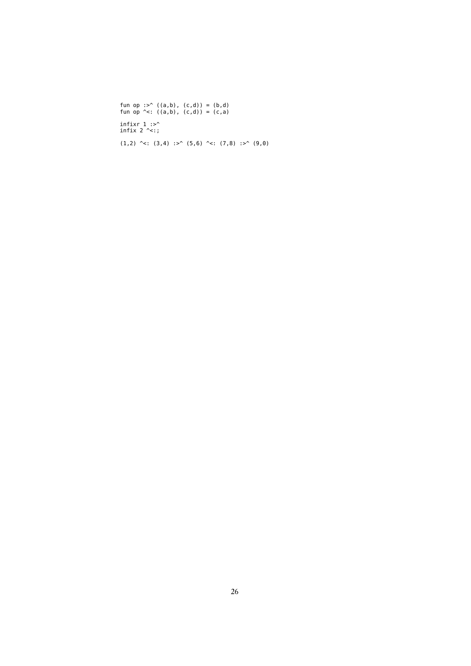fun op :>^ ((a,b), (c,d)) = (b,d) fun op ^<: ((a,b), (c,d)) = (c,a) infixr 1 :>^ infix 2 ^<:;  $(1,2)$  ^<:  $(3,4)$  :>^  $(5,6)$  ^<:  $(7,8)$  :>^  $(9,0)$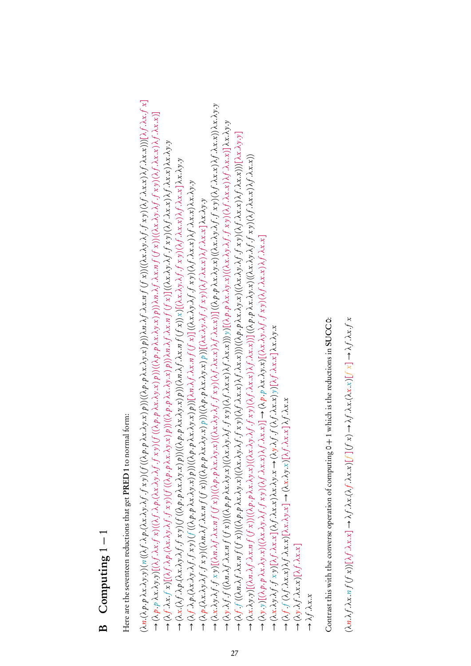# Computing  $1 - 1$ B Computing 1 − 1  $\mathbf{B}$

Here are the seventeen reductions that get PRED 1 to normal form: Here are the seventeen reductions that get **PRED** 1 to normal form:  $(\lambda n.(\lambda p.p\,\lambda x.\lambda y. y)(n((\lambda f.\lambda p.(\lambda x.\lambda y.\lambda f.f\, x. y))f((\lambda p.p\,\lambda x.\lambda y. x)p))(\lambda p.\lambda x.\lambda y. x)p))\lambda n.\lambda f. (f\, x))((\lambda x.\lambda y.\lambda f.f\, x. y)(\lambda f.\lambda x. x))f.\lambda f. \lambda x. x))[(\lambda f.\lambda x.f\, x]$ (*λ*n.(*λ*p. p *λ*x.*λ*y.y) (n ((*λ*f .*λ*p.(*λ*x.*λ*y.*λ*f .f x y) (f ((*λ*p. p *λ*x.*λ*y.x) p)) ((*λ*p. p *λ*x.*λ*y.x) p))*λ*n.*λ*f .*λ*x.n f (f x)) ((*λ*x.*λ*y.*λ*f .f x y) (*λ*f .*λ*x.x)*λ*f .*λ*x.x)))[*λ*f .*λ*x.f x]  $\to$   $(\lambda x.\lambda f.f.x y)$ [( $\lambda n.\lambda f. \lambda x.n.f(f x))$ (( $\lambda p.p.\lambda x.\lambda y.x)$ )(( $\lambda x.\lambda y. \lambda f. \lambda x.x$ ))](( $\lambda p.\lambda x.\lambda y.x$ ))(( $\lambda p.p.\lambda x.\lambda y.x$ ))( $\lambda f. \lambda x.x$ )) $\lambda x.\lambda y.\lambda f. \lambda x.x$ ))) (*λ*x.*λ*y.*λ*f .f x y)[(*λ*n.*λ*f .*λ*x.n f (f x)) ((*λ*p. p *λ*x.*λ*y.x) ((*λ*x.*λ*y.*λ*f .f x y) (*λ*f .*λ*x.x)*λ*f .*λ*x.x))] ((*λ*p. p *λ*x.*λ*y.x) ((*λ*x.*λ*y.*λ*f .f x y) (*λ*f .*λ*x.x)*λ*f .*λ*x.x))*λ*x.*λ*y.y  $\to$  ( $\lambda$ p.p  $\lambda x. \lambda y. y$ )[( $\lambda f. \lambda x. f. x$ )(( $\lambda f. \lambda y. \lambda f. f. x. y$ )(( $\lambda f. \lambda x. \lambda y. x$ ) p))(( $\lambda p. p. \lambda x. \lambda y. x f$ )))  $\lambda x. n$   $f$  ( $f$  x))(( $\lambda x. \lambda y. \lambda f. f. x. y$ ))( $\lambda f. \lambda x. x$ )] → (λp.p λx.λy.y)[(λf.λx.f x)((λf.λp.(λx.λy.λf.f xy)(f ((λp.p λx.λy.x)p))((λp.p λx.λy.x)p)) λn.λf.λx.n f (f x))((λx.λy.λf.f xy)(λf.λx.x)1<br>.  $\to$  (λy.λf .f ((λn.λf .λx.n f (f x))((λp.p λx.λy.x)((λx.λy.λf .f x y)(λf .λx.x))( h.x.x)))))][(λp.p λx.λy.x)((λx.λy.λf .f x y)(λf .λx.x)) λf .λx.x)] λx.λy.y → (λy.λf ((λn.λf .λx.n f (f x))((λp.p λx.λy.x)((λx.λy.λf .f x y)(λf .λx.x)) f .λx.x))) y)[(λp.p λx.λy.x)((λx.λy.λf .f x y) (λf .λx.x)] λx.x)] λx.λy.y<br>→ (λ → (Xf .f ((\m.xf . \x:n f (f x))((\xp .p \x: \y.x)((\x: \y. \f .f x y)(\f . \x:x)){ . \x:x))) (\\p .p \x: \y.x)((\x: \y.x) (\x . \y. \f . \x:x)) {\f . \x:x)))[\x: \y.y] → (λf f ((λn.λf .λx.n f (f x))((λp.p λx.λy.x)((λx.λy.λf f x y)(λf .λx.x)))(((λx.x)))((λp.p λx.λy.x)((λx.λy.λf .f xy)(λf.λx.x)),f.λx.x))][λx.λy.y]  $\to$  ( $\lambda f. \lambda x.f. x$ )[( $\lambda f. \lambda p. (\lambda x.\lambda y.\lambda f.f. x y)$ )(( $\lambda ( \lambda p.p. \lambda x.\lambda y.x)$ ))(( $\lambda p.p. \lambda x.\lambda y.x)$ )))  $\lambda n. \lambda f. \lambda x.n.f. (f x)$ ] (( $\lambda x.\lambda y.\lambda f.f. x y)$ )( $\lambda f. \lambda x.x$ )  $\lambda f. \lambda x.x$ )  $\lambda x.\lambda y.y$ → (λf .λx.f x)[(λf .λp:(λx.λ9; λf .f xy)(f ((λp:p λx.λ9; x)p))((λp:p λx.λ9; x)p)) λn.λf .λx.n f (f x)] ((λx.λ9; λf f xy)(λf .λx.x) λf .λx.λ9;9<br>→ (λ → (λx.λy.y)[(λn.λf.λx.nf (f x))((λp.p λx.λy.x)((λx.λy.λf.f xy)(λf.λx.x)){/.λx.x))] ((λp.p λx.λy.x)((λx.λy.λf.f xy)(λf.λx.x))<br>→ (λ  $\rightarrow$   $(\lambda x.\lambda y.y)[(\lambda n.\lambda f. \lambda x.n f. (f x))((\lambda p.\rho.\lambda x.\lambda y.x)((\lambda x.\lambda y.\lambda f. f x y))(\lambda f.\lambda x.x))][(\lambda p.\rho.\lambda x.\lambda y.x)((\lambda x.\lambda y.\lambda f. f x y)(\lambda f.\lambda x.x))$ → (λx(λf .λp .(λx.λy .λf .f xy)(f ((λp .p λx.λy.x)p))((λp .p λx.λy.x)p))(λn.λf .λx.n f (f x))x)[(λx.λy.λf .f xy)(λf .λx.x) λf .λx.x] λx.λy.y  $\rightarrow$  (λx (λf ·λp (λx ·λg ·λf ·f xy)(f ((λp ·p λx ·λy ·x)p))((λp ·p λx ·λy ·x)p))(λn .λf ·λx .n f (f x))x)[(λx ·λy ·λf ·xy) (λf ·λx ·x] λx ·λy ·y<br> $\rightarrow$  $\rightarrow$  (λf  $\lambda$ p.(λx.λy.λf  $.f xy)(f  $((\lambda p. p\lambda x.\lambda y.x)p)(((\lambda p. p\lambda x.\lambda y.x)p)[[\lambda n. \lambda f. \lambda x.n f(f x)]((\lambda x.\lambda y.\lambda f.f xy)(\lambda f.\lambda x.x)\lambda f.\lambda x.x)\lambda x.\lambda y.y$$ → (λf-λp (λx.λy.λf-f xy)(f ((λp.p λx.λy.x)p))((λp.p λx.λy.x)p))[λn.λf-λx.n f (f x)] ((λx.λy.λf-f xy)(λf-λx.x) λf-λx.x) λx.λy.y<br>→ → (λp.(λx.λy.λf .f xy)((λn.λf .λx.n f (f x))((λp.p λx.λy.x) p))((λp.p λx.λy.x) p))[(λx.λy.λf .f xy)(λf .λx.x) λf .λx.x] λx.λy.y  $\rightarrow$  (λp (λx.λg.λf .f x9)((λn.λf .λx.n f (f x))((λp .p λx.λy.x)p))((λp .p λx.λy.x)p))[(λx.λy.λf .f x9)(λf .λx.x) λf .λx.x] λx.λ9.y  $\rightarrow (\lambda y. y) [(\lambda p. p. \lambda x. \lambda y. x)((\lambda x. \lambda y. \lambda f. f x y)(\lambda f. \lambda x. x) \lambda f. \lambda x. x)] \rightarrow (\lambda p. p. \lambda x. \lambda y. x) [(\lambda x. \lambda y. \lambda f. f x y)(\lambda f. \lambda x. x) \lambda f. \lambda x. x]$  $\rightarrow$  (λy v)[(λ p λx.λy .x)((λx.λy.λf .f xy)(λf .λx.x) λf .λx.x)]  $\rightarrow$  (λ p .p λx.λy.x)[(λx.λy.λf .f xy)(λf .λx.x) λf .λx.x]  $\rightarrow (\lambda x.\lambda y.\lambda f.f.x y)[\lambda f.\lambda x.x](\lambda f.\lambda x.x)\lambda x.\lambda y.x \rightarrow (\lambda y.\lambda f.f(\lambda f.\lambda x.x)y)[\lambda f.\lambda x.x]\lambda x.\lambda y.x$  (*λ*x.*λ*y.*λ*f .f x y)[*λ*f .*λ*x.x] (*λ*f .*λ*x.x)*λ*x.*λ*y.x → (*λ*y.*λ*f .f (*λ*f .*λ*x.x) y)[*λ*f .*λ*x.x]*λ*x.*λ*y.x  $\lambda f. f(\lambda f. \lambda x.x) \lambda f. \lambda x.x [\lambda x. \lambda y.x] \rightarrow (\lambda x. \lambda y.x [\lambda f. \lambda x.x] \lambda f. \lambda x.x$  (*λ*f .f (*λ*f .*λ*x.x)*λ*f .*λ*x.x)[*λ*x.*λ*y.x] → (*λ*x.*λ*y.x)[*λ*f .*λ*x.x]*λ*f .*λ*x.x  $\rightarrow (\lambda y.\lambda f.\lambda x.x)[\lambda f.\lambda x.x]$ (*λ*y.*λ*f .*λ*x.x)[*λ*f .*λ*x.x]

Contrast this with the converse operation of computing 0+1 which is the reductions in SUCCO: Contrast this with the converse operation of computing 0  $+$  1 which is the reductions in SUCC0:

 $\rightarrow$   $\lambda f. \lambda x.x$ 

(*λ*n.*λ*f .*λ*x.n f (f x))[*λ*f .*λ*x.x] → *λ*f .*λ*x.(*λ*f .*λ*x.x)[ f ] (f x) → *λ*f .*λ*x.(*λ*x.x)[ f x] → *λ*f .*λ*x.f x  $(\lambda n.\lambda f.\lambda x.n f(f(x))[\lambda f.\lambda x.x] \to \lambda f.\lambda x. (\lambda f.\lambda x.x)[f](f(x) \to \lambda f.\lambda x. (\lambda x.x)[f(x] \to \lambda f.\lambda x.f x$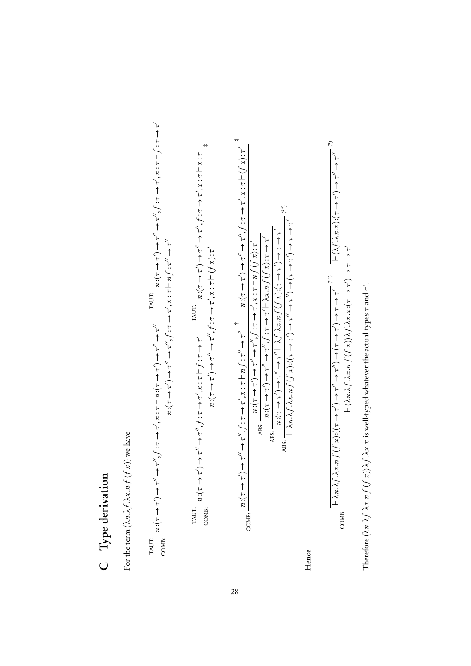# C Type derivation C Type derivation

For the term  $(\lambda n.\lambda f.\lambda x.nf\left(f\,x\right))$  we have For the term  $(\lambda n.\lambda f.\lambda x.nf(f\ x))$  we have

COMB: † :(*τ* → *τ*0) → *τ*00 → *τ*00, f :*τ* → *τ*0, x : *τ* ` n :(*τ* → *τ*0) → *τ*00 → *τ*00 TAUT: n :(*τ* → *τ*0) → *τ*00 → *τ*00, f :*τ* → *τ*0, x : *τ* ` f :*τ* → *τ*0 :(*τ* → *τ*0) → *τ*00 → *τ*00, f :*τ* → *τ*0, x : *τ* ` n f :*τ*00 → *τ*00 nnTAUT: 

COMB: ‡ :(*τ* → *τ*0) → *τ*00 → *τ*00, f :*τ* → *τ*0, x : *τ* ` f :*τ* → *τ*0 TAUT: n :(*τ* → *τ*0) → *τ*00 → *τ*00, f :*τ* → *τ*0, x : *τ* ` x :*τ* :(*τ* → *τ*0) → *τ*00 → *τ*00, f :*τ* → *τ*0, x : *τ* ` (f x):*τ*0 nnTAUT: 

† n $m: (\tau \to \tau') \to \tau'' \to \tau''$ ,  $f: \tau \to \tau'$ ,  $x: \tau \mapsto \tau'' \to \tau''$ <br> $m: (\tau \to \tau'') \to \tau'' \to \tau''$ ,  $f: \tau \to \tau', x: \tau \mapsto (f x): \tau' \to \tau''$ COMB: n $\frac{n\cdot(\tau \to \tau') \to \tau'' \to \tau'', f : \tau \to \tau', x : \tau \vdash n f(f(x)) : \tau''}{n}$ ABS: n

 $\frac{\partial}{\partial t} f(x) \to \tau'' \to \tau''$ , *f* : *τ* → *τ*<sup>0</sup> λ*x*.*n f* (*f x*):*τ* → *τ*<sup>0</sup>, *τ* ABS: n $\frac{n}{(τ \to τ') \to τ'' \to τ'' \to λf. \lambda x.n f (f x)(τ \to τ') \to τ \to τ'$ ABS:  $\frac{\text{ABS}}{\text{+}} \frac{\lambda}{\lambda n} \cdot \lambda f \cdot \lambda x \cdot n f(f(x)) : ((\tau \to \tau') \to \tau'' \to \tau'') \to (\tau \to \tau') \to \tau \to \tau'$ 

Hence

$$
\frac{\overline{+ \lambda n. \lambda f. \lambda x.n f(f(x)) \cdot ((\tau \to \tau') \to \tau'' \to (\tau \to \tau') \to (\tau \to \tau') \to (\tau \to \tau') \quad \overline{+ (\lambda f. \lambda x.x) \cdot (\tau \to \tau') \to \tau'' \quad \cdots \quad}}{+ (\lambda n. \lambda f. \lambda x.n f(f(x)) \lambda f. \lambda x.x. (\tau \to \tau') \to \tau \to \tau' \quad \cdots \quad}
$$

Therefore  $(\lambda n.\lambda f.\lambda x.n f(f x))\lambda f.\lambda x.x$  is well-typed whatever the actual types  $\tau$  and  $\tau'$ . Therefore (*λn.λf.λx.nf* (*f x*))*λf.λx.x* is well-typed whatever the actual types *τ* and *τ'*.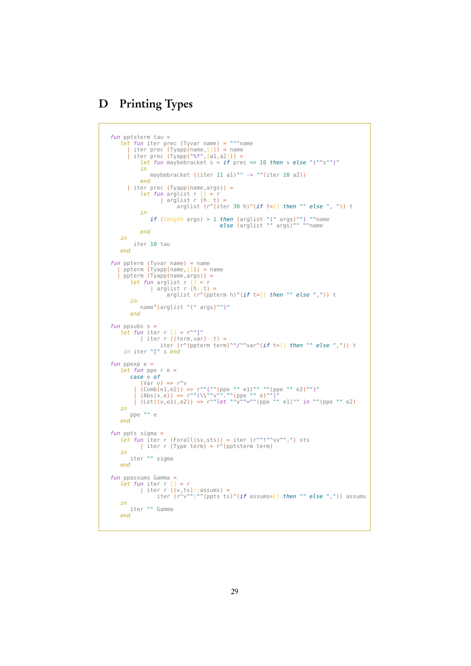# D Printing Types

```
fun pptsterm tau =
     let fun iter prec (Tyvar name) = ""^name<br>| iter prec (Tyapp(name,[])) = name<br>| iter prec (Tyapp("%f",[a1,a2])) =<br>let fun maybebracket s = if prec <= 10 then s else "("^s^")"
               in
                   maybebracket ((iter 11 a1)^" -> "^(iter 10 a2))
               end
         | iter prec (Tyapp(name,args)) =<br>
let fun arglist r [] = r<br>
| arglist r (h::t) =
                                 arglist (r^{\wedge}(iter 30 h)^{\wedge}(if t=[] then "" else ", ")) t
               in
                     if (length args) > 1 then (arglist "(" args)^") "^name
else (arglist "" args)^" "^name
              end
    in
           iter 10 tau
    end
fun ppterm (Tyvar name) = name<br>
| ppterm (Tyapp(name,[])) = name<br>
| ppterm (Tyapp(name,args)) =<br>
let \, fun \, \text{arglist r (h::t)} = \, \text{arglist (r^(|0)^(if t=[] then "" else ",")) t}in
              name^(arglist "(" args)^")"
          end
fun ppsubs s =let fun iter r [] = r^{\sim}"]"
                | iter r ((term,var)::t) =<br>iter (r^(ppterm term)^"/"^var^(if t=[] then "" else ",")) t
      in iter "[" s end
fun ppexp e =let fun ppe r e =case e of
               (Var v) => r^v| (Comb(e1,e2)) => r^"("^(ppe "" e1)^" "^(ppe "" e2)^")"
| (Abs(v,e)) => r^"(\\"^v^"."^(ppe "" e)^")"
| (Let((v,e1),e2)) => r^"let "^v^"="^(ppe "" e1)^" in "^(ppe "" e2)
    in
         ppe "" e
    end
fun ppts sigma =let fun iter r (Forall(sv,sts)) = iter (r^"!"^sv^".") sts
| iter r (Type term) = r^(pptsterm term)
    in
         iter "" sigma
    end
fun ppassums Gamma =<br>
let fun iter r [] = r<br>
| iter r ((v,ts)::assums) =<br>
iter (r^v^":"^(ppts ts)^(if assums=[] then "" else ",")) assums<br>
in<br>
iter "" Gamma
    end
```